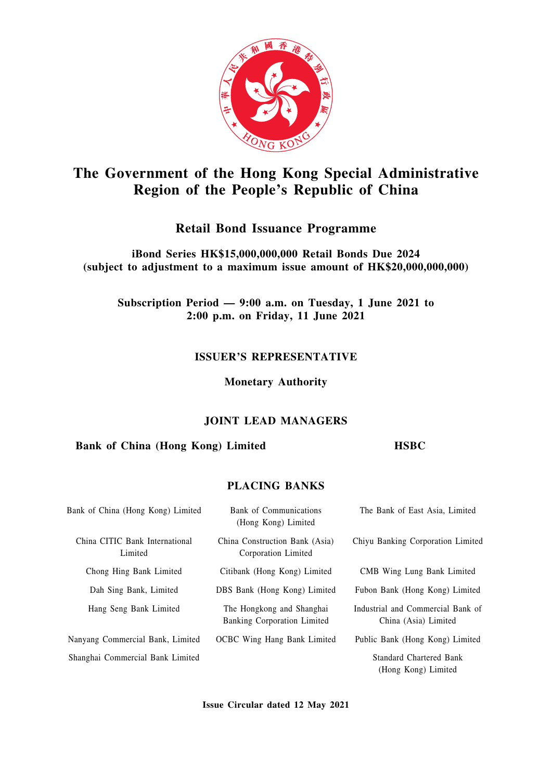

# **The Government of the Hong Kong Special Administrative Region of the People's Republic of China**

## **Retail Bond Issuance Programme**

**iBond Series HK\$15,000,000,000 Retail Bonds Due 2024 (subject to adjustment to a maximum issue amount of HK\$20,000,000,000)**

**Subscription Period — 9:00 a.m. on Tuesday, 1 June 2021 to 2:00 p.m. on Friday, 11 June 2021**

## **ISSUER'S REPRESENTATIVE**

**Monetary Authority**

## **JOINT LEAD MANAGERS**

## **Bank of China (Hong Kong) Limited HSBC**

## **PLACING BANKS**

| Bank of China (Hong Kong) Limited         | Bank of Communications<br>(Hong Kong) Limited            | The Bank of East Asia, Limited                            |
|-------------------------------------------|----------------------------------------------------------|-----------------------------------------------------------|
| China CITIC Bank International<br>Limited | China Construction Bank (Asia)<br>Corporation Limited    | Chiyu Banking Corporation Limited                         |
| Chong Hing Bank Limited                   | Citibank (Hong Kong) Limited                             | CMB Wing Lung Bank Limited                                |
| Dah Sing Bank, Limited                    | DBS Bank (Hong Kong) Limited                             | Fubon Bank (Hong Kong) Limited                            |
| Hang Seng Bank Limited                    | The Hongkong and Shanghai<br>Banking Corporation Limited | Industrial and Commercial Bank of<br>China (Asia) Limited |
| Nanyang Commercial Bank, Limited          | <b>OCBC</b> Wing Hang Bank Limited                       | Public Bank (Hong Kong) Limited                           |
| Shanghai Commercial Bank Limited          |                                                          | <b>Standard Chartered Bank</b><br>(Hong Kong) Limited     |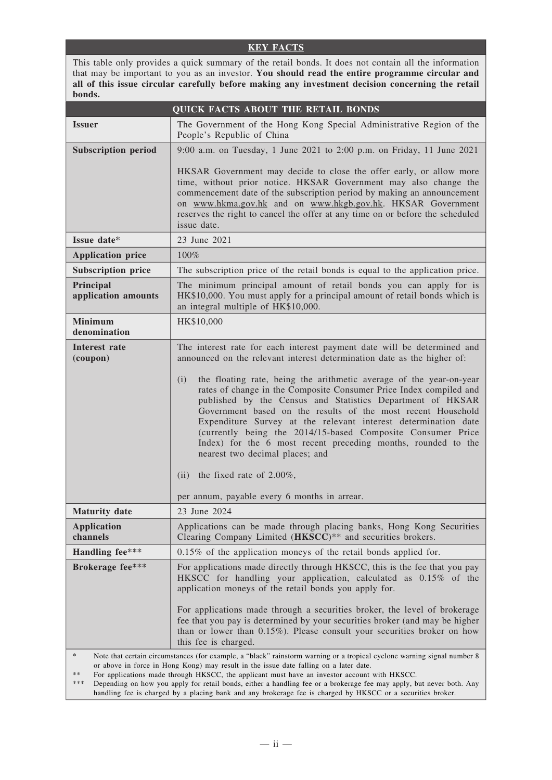#### **KEY FACTS**

This table only provides a quick summary of the retail bonds. It does not contain all the information that may be important to you as an investor. **You should read the entire programme circular and all of this issue circular carefully before making any investment decision concerning the retail bonds.**

|                                  | <b>QUICK FACTS ABOUT THE RETAIL BONDS</b>                                                                                                                                                                                                                                                                                                                                                                                                                                                                                                                                                                                                                                                                                                                         |
|----------------------------------|-------------------------------------------------------------------------------------------------------------------------------------------------------------------------------------------------------------------------------------------------------------------------------------------------------------------------------------------------------------------------------------------------------------------------------------------------------------------------------------------------------------------------------------------------------------------------------------------------------------------------------------------------------------------------------------------------------------------------------------------------------------------|
| <b>Issuer</b>                    | The Government of the Hong Kong Special Administrative Region of the<br>People's Republic of China                                                                                                                                                                                                                                                                                                                                                                                                                                                                                                                                                                                                                                                                |
| <b>Subscription period</b>       | 9:00 a.m. on Tuesday, 1 June 2021 to 2:00 p.m. on Friday, 11 June 2021                                                                                                                                                                                                                                                                                                                                                                                                                                                                                                                                                                                                                                                                                            |
|                                  | HKSAR Government may decide to close the offer early, or allow more<br>time, without prior notice. HKSAR Government may also change the<br>commencement date of the subscription period by making an announcement<br>on www.hkma.gov.hk and on www.hkgb.gov.hk. HKSAR Government<br>reserves the right to cancel the offer at any time on or before the scheduled<br>issue date.                                                                                                                                                                                                                                                                                                                                                                                  |
| Issue date*                      | 23 June 2021                                                                                                                                                                                                                                                                                                                                                                                                                                                                                                                                                                                                                                                                                                                                                      |
| <b>Application price</b>         | 100%                                                                                                                                                                                                                                                                                                                                                                                                                                                                                                                                                                                                                                                                                                                                                              |
| <b>Subscription price</b>        | The subscription price of the retail bonds is equal to the application price.                                                                                                                                                                                                                                                                                                                                                                                                                                                                                                                                                                                                                                                                                     |
| Principal<br>application amounts | The minimum principal amount of retail bonds you can apply for is<br>HK\$10,000. You must apply for a principal amount of retail bonds which is<br>an integral multiple of HK\$10,000.                                                                                                                                                                                                                                                                                                                                                                                                                                                                                                                                                                            |
| <b>Minimum</b><br>denomination   | HK\$10,000                                                                                                                                                                                                                                                                                                                                                                                                                                                                                                                                                                                                                                                                                                                                                        |
| <b>Interest rate</b><br>(coupon) | The interest rate for each interest payment date will be determined and<br>announced on the relevant interest determination date as the higher of:<br>the floating rate, being the arithmetic average of the year-on-year<br>(i)<br>rates of change in the Composite Consumer Price Index compiled and<br>published by the Census and Statistics Department of HKSAR<br>Government based on the results of the most recent Household<br>Expenditure Survey at the relevant interest determination date<br>(currently being the 2014/15-based Composite Consumer Price<br>Index) for the 6 most recent preceding months, rounded to the<br>nearest two decimal places; and<br>the fixed rate of $2.00\%$ ,<br>(ii)<br>per annum, payable every 6 months in arrear. |
| <b>Maturity date</b>             | 23 June 2024                                                                                                                                                                                                                                                                                                                                                                                                                                                                                                                                                                                                                                                                                                                                                      |
| <b>Application</b><br>channels   | Applications can be made through placing banks, Hong Kong Securities<br>Clearing Company Limited (HKSCC)** and securities brokers.                                                                                                                                                                                                                                                                                                                                                                                                                                                                                                                                                                                                                                |
| Handling fee***                  | $0.15\%$ of the application moneys of the retail bonds applied for.                                                                                                                                                                                                                                                                                                                                                                                                                                                                                                                                                                                                                                                                                               |
| <b>Brokerage fee***</b>          | For applications made directly through HKSCC, this is the fee that you pay<br>HKSCC for handling your application, calculated as 0.15% of the<br>application moneys of the retail bonds you apply for.<br>For applications made through a securities broker, the level of brokerage<br>fee that you pay is determined by your securities broker (and may be higher<br>than or lower than 0.15%). Please consult your securities broker on how<br>this fee is charged.                                                                                                                                                                                                                                                                                             |
| $\ast$                           | Note that certain circumstances (for example, a "black" rainstorm warning or a tropical cyclone warning signal number 8                                                                                                                                                                                                                                                                                                                                                                                                                                                                                                                                                                                                                                           |

or above in force in Hong Kong) may result in the issue date falling on a later date.

\*\* For applications made through HKSCC, the applicant must have an investor account with HKSCC.

Depending on how you apply for retail bonds, either a handling fee or a brokerage fee may apply, but never both. Any handling fee is charged by a placing bank and any brokerage fee is charged by HKSCC or a securities broker.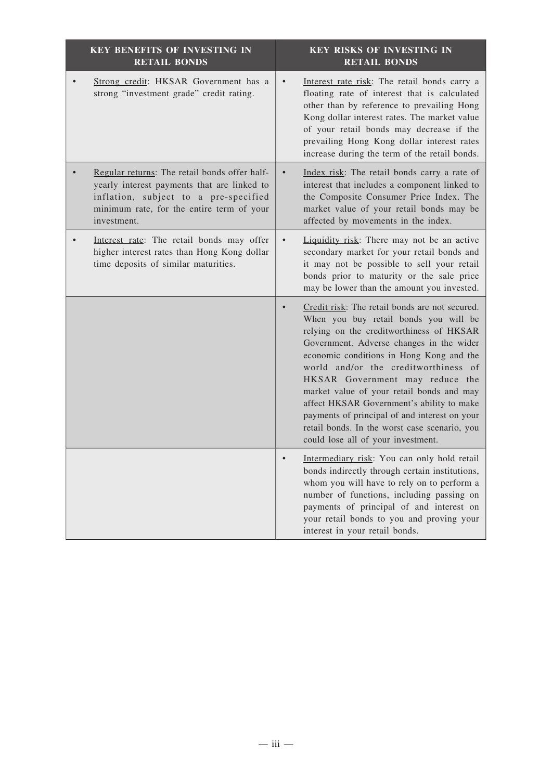| <b>KEY BENEFITS OF INVESTING IN</b><br><b>RETAIL BONDS</b>                                                                                                                                        | KEY RISKS OF INVESTING IN<br><b>RETAIL BONDS</b>                                                                                                                                                                                                                                                                                                                                                                                                                                                                                         |
|---------------------------------------------------------------------------------------------------------------------------------------------------------------------------------------------------|------------------------------------------------------------------------------------------------------------------------------------------------------------------------------------------------------------------------------------------------------------------------------------------------------------------------------------------------------------------------------------------------------------------------------------------------------------------------------------------------------------------------------------------|
| Strong credit: HKSAR Government has a<br>strong "investment grade" credit rating.                                                                                                                 | Interest rate risk: The retail bonds carry a<br>floating rate of interest that is calculated<br>other than by reference to prevailing Hong<br>Kong dollar interest rates. The market value<br>of your retail bonds may decrease if the<br>prevailing Hong Kong dollar interest rates<br>increase during the term of the retail bonds.                                                                                                                                                                                                    |
| Regular returns: The retail bonds offer half-<br>yearly interest payments that are linked to<br>inflation, subject to a pre-specified<br>minimum rate, for the entire term of your<br>investment. | Index risk: The retail bonds carry a rate of<br>interest that includes a component linked to<br>the Composite Consumer Price Index. The<br>market value of your retail bonds may be<br>affected by movements in the index.                                                                                                                                                                                                                                                                                                               |
| Interest rate: The retail bonds may offer<br>higher interest rates than Hong Kong dollar<br>time deposits of similar maturities.                                                                  | Liquidity risk: There may not be an active<br>secondary market for your retail bonds and<br>it may not be possible to sell your retail<br>bonds prior to maturity or the sale price<br>may be lower than the amount you invested.                                                                                                                                                                                                                                                                                                        |
|                                                                                                                                                                                                   | Credit risk: The retail bonds are not secured.<br>When you buy retail bonds you will be<br>relying on the creditworthiness of HKSAR<br>Government. Adverse changes in the wider<br>economic conditions in Hong Kong and the<br>world and/or the creditworthiness of<br>HKSAR Government may reduce the<br>market value of your retail bonds and may<br>affect HKSAR Government's ability to make<br>payments of principal of and interest on your<br>retail bonds. In the worst case scenario, you<br>could lose all of your investment. |
|                                                                                                                                                                                                   | Intermediary risk: You can only hold retail<br>bonds indirectly through certain institutions,<br>whom you will have to rely on to perform a<br>number of functions, including passing on<br>payments of principal of and interest on<br>your retail bonds to you and proving your<br>interest in your retail bonds.                                                                                                                                                                                                                      |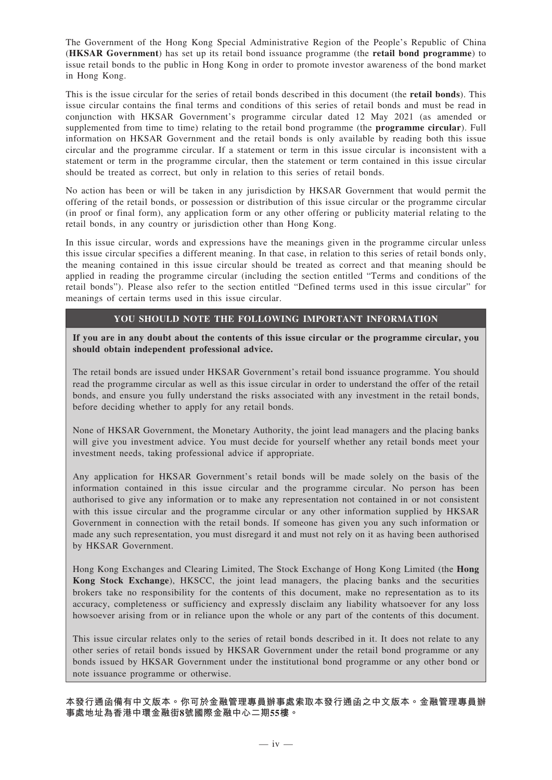The Government of the Hong Kong Special Administrative Region of the People's Republic of China (**HKSAR Government**) has set up its retail bond issuance programme (the **retail bond programme**) to issue retail bonds to the public in Hong Kong in order to promote investor awareness of the bond market in Hong Kong.

This is the issue circular for the series of retail bonds described in this document (the **retail bonds**). This issue circular contains the final terms and conditions of this series of retail bonds and must be read in conjunction with HKSAR Government's programme circular dated 12 May 2021 (as amended or supplemented from time to time) relating to the retail bond programme (the **programme circular**). Full information on HKSAR Government and the retail bonds is only available by reading both this issue circular and the programme circular. If a statement or term in this issue circular is inconsistent with a statement or term in the programme circular, then the statement or term contained in this issue circular should be treated as correct, but only in relation to this series of retail bonds.

No action has been or will be taken in any jurisdiction by HKSAR Government that would permit the offering of the retail bonds, or possession or distribution of this issue circular or the programme circular (in proof or final form), any application form or any other offering or publicity material relating to the retail bonds, in any country or jurisdiction other than Hong Kong.

In this issue circular, words and expressions have the meanings given in the programme circular unless this issue circular specifies a different meaning. In that case, in relation to this series of retail bonds only, the meaning contained in this issue circular should be treated as correct and that meaning should be applied in reading the programme circular (including the section entitled "Terms and conditions of the retail bonds"). Please also refer to the section entitled "Defined terms used in this issue circular" for meanings of certain terms used in this issue circular.

#### **YOU SHOULD NOTE THE FOLLOWING IMPORTANT INFORMATION**

**If you are in any doubt about the contents of this issue circular or the programme circular, you should obtain independent professional advice.**

The retail bonds are issued under HKSAR Government's retail bond issuance programme. You should read the programme circular as well as this issue circular in order to understand the offer of the retail bonds, and ensure you fully understand the risks associated with any investment in the retail bonds, before deciding whether to apply for any retail bonds.

None of HKSAR Government, the Monetary Authority, the joint lead managers and the placing banks will give you investment advice. You must decide for yourself whether any retail bonds meet your investment needs, taking professional advice if appropriate.

Any application for HKSAR Government's retail bonds will be made solely on the basis of the information contained in this issue circular and the programme circular. No person has been authorised to give any information or to make any representation not contained in or not consistent with this issue circular and the programme circular or any other information supplied by HKSAR Government in connection with the retail bonds. If someone has given you any such information or made any such representation, you must disregard it and must not rely on it as having been authorised by HKSAR Government.

Hong Kong Exchanges and Clearing Limited, The Stock Exchange of Hong Kong Limited (the **Hong Kong Stock Exchange**), HKSCC, the joint lead managers, the placing banks and the securities brokers take no responsibility for the contents of this document, make no representation as to its accuracy, completeness or sufficiency and expressly disclaim any liability whatsoever for any loss howsoever arising from or in reliance upon the whole or any part of the contents of this document.

This issue circular relates only to the series of retail bonds described in it. It does not relate to any other series of retail bonds issued by HKSAR Government under the retail bond programme or any bonds issued by HKSAR Government under the institutional bond programme or any other bond or note issuance programme or otherwise.

**本發行通函備有中文版本。你可於金融管理專員辦事處索取本發行通函之中文版本。金融管理專員辦 事處地址為香港中環金融街8號國際金融中心二期55樓。**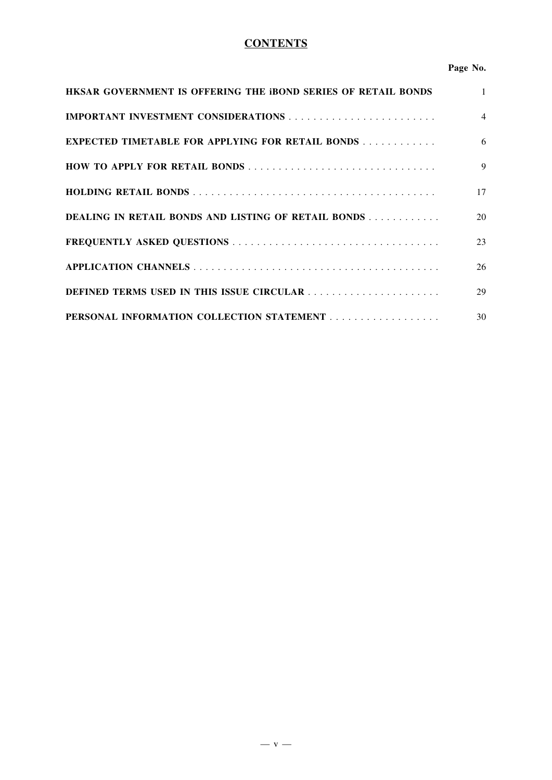## **CONTENTS**

#### **Page No.**

| HKSAR GOVERNMENT IS OFFERING THE BOND SERIES OF RETAIL BONDS | $\mathbf{1}$   |
|--------------------------------------------------------------|----------------|
|                                                              | $\overline{4}$ |
| <b>EXPECTED TIMETABLE FOR APPLYING FOR RETAIL BONDS</b>      | 6              |
|                                                              | 9              |
|                                                              | 17             |
| DEALING IN RETAIL BONDS AND LISTING OF RETAIL BONDS          | 20             |
|                                                              | 23             |
|                                                              | 26             |
| DEFINED TERMS USED IN THIS ISSUE CIRCULAR                    | 29             |
|                                                              | 30             |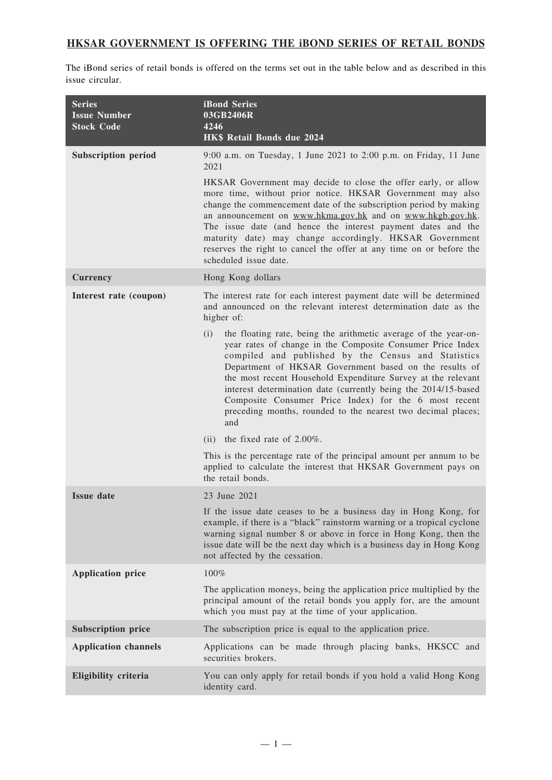## **HKSAR GOVERNMENT IS OFFERING THE iBOND SERIES OF RETAIL BONDS**

The iBond series of retail bonds is offered on the terms set out in the table below and as described in this issue circular.

| <b>Series</b><br><b>Issue Number</b><br><b>Stock Code</b> | <b>iBond Series</b><br>03GB2406R<br>4246<br>HK\$ Retail Bonds due 2024                                                                                                                                                                                                                                                                                                                                                                                                                                                  |
|-----------------------------------------------------------|-------------------------------------------------------------------------------------------------------------------------------------------------------------------------------------------------------------------------------------------------------------------------------------------------------------------------------------------------------------------------------------------------------------------------------------------------------------------------------------------------------------------------|
| <b>Subscription period</b>                                | 9:00 a.m. on Tuesday, 1 June 2021 to 2:00 p.m. on Friday, 11 June<br>2021                                                                                                                                                                                                                                                                                                                                                                                                                                               |
|                                                           | HKSAR Government may decide to close the offer early, or allow<br>more time, without prior notice. HKSAR Government may also<br>change the commencement date of the subscription period by making<br>an announcement on www.hkma.gov.hk and on www.hkgb.gov.hk.<br>The issue date (and hence the interest payment dates and the<br>maturity date) may change accordingly. HKSAR Government<br>reserves the right to cancel the offer at any time on or before the<br>scheduled issue date.                              |
| <b>Currency</b>                                           | Hong Kong dollars                                                                                                                                                                                                                                                                                                                                                                                                                                                                                                       |
| Interest rate (coupon)                                    | The interest rate for each interest payment date will be determined<br>and announced on the relevant interest determination date as the<br>higher of:                                                                                                                                                                                                                                                                                                                                                                   |
|                                                           | the floating rate, being the arithmetic average of the year-on-<br>(i)<br>year rates of change in the Composite Consumer Price Index<br>compiled and published by the Census and Statistics<br>Department of HKSAR Government based on the results of<br>the most recent Household Expenditure Survey at the relevant<br>interest determination date (currently being the 2014/15-based<br>Composite Consumer Price Index) for the 6 most recent<br>preceding months, rounded to the nearest two decimal places;<br>and |
|                                                           | the fixed rate of $2.00\%$ .<br>(ii)                                                                                                                                                                                                                                                                                                                                                                                                                                                                                    |
|                                                           | This is the percentage rate of the principal amount per annum to be<br>applied to calculate the interest that HKSAR Government pays on<br>the retail bonds.                                                                                                                                                                                                                                                                                                                                                             |
| <b>Issue date</b>                                         | 23 June 2021                                                                                                                                                                                                                                                                                                                                                                                                                                                                                                            |
|                                                           | If the issue date ceases to be a business day in Hong Kong, for<br>example, if there is a "black" rainstorm warning or a tropical cyclone<br>warning signal number 8 or above in force in Hong Kong, then the<br>issue date will be the next day which is a business day in Hong Kong<br>not affected by the cessation.                                                                                                                                                                                                 |
| <b>Application price</b>                                  | 100%                                                                                                                                                                                                                                                                                                                                                                                                                                                                                                                    |
|                                                           | The application moneys, being the application price multiplied by the<br>principal amount of the retail bonds you apply for, are the amount<br>which you must pay at the time of your application.                                                                                                                                                                                                                                                                                                                      |
| <b>Subscription price</b>                                 | The subscription price is equal to the application price.                                                                                                                                                                                                                                                                                                                                                                                                                                                               |
| <b>Application channels</b>                               | Applications can be made through placing banks, HKSCC and<br>securities brokers.                                                                                                                                                                                                                                                                                                                                                                                                                                        |
| Eligibility criteria                                      | You can only apply for retail bonds if you hold a valid Hong Kong<br>identity card.                                                                                                                                                                                                                                                                                                                                                                                                                                     |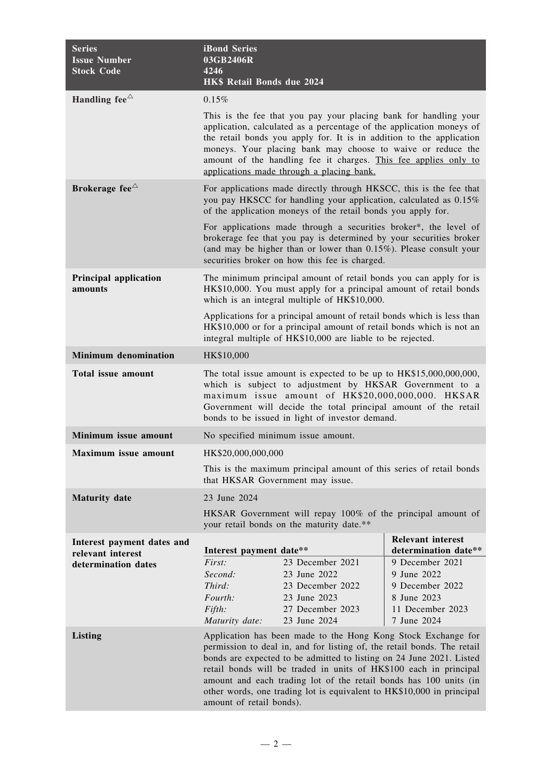| <b>Series</b><br><b>Issue Number</b><br><b>Stock Code</b> | <b>iBond Series</b><br>03GB2406R<br>4246<br>HK\$ Retail Bonds due 2024                                                                                                                                                                                                                                                                                                                                                                                          |                                                                                                                                                                                                                                                                  |                                                                                                     |
|-----------------------------------------------------------|-----------------------------------------------------------------------------------------------------------------------------------------------------------------------------------------------------------------------------------------------------------------------------------------------------------------------------------------------------------------------------------------------------------------------------------------------------------------|------------------------------------------------------------------------------------------------------------------------------------------------------------------------------------------------------------------------------------------------------------------|-----------------------------------------------------------------------------------------------------|
| Handling fee $\triangle$                                  | 0.15%                                                                                                                                                                                                                                                                                                                                                                                                                                                           |                                                                                                                                                                                                                                                                  |                                                                                                     |
|                                                           | This is the fee that you pay your placing bank for handling your<br>application, calculated as a percentage of the application moneys of<br>the retail bonds you apply for. It is in addition to the application<br>moneys. Your placing bank may choose to waive or reduce the<br>amount of the handling fee it charges. This fee applies only to<br>applications made through a placing bank.                                                                 |                                                                                                                                                                                                                                                                  |                                                                                                     |
| Brokerage fee $\triangle$                                 |                                                                                                                                                                                                                                                                                                                                                                                                                                                                 | For applications made directly through HKSCC, this is the fee that<br>you pay HKSCC for handling your application, calculated as 0.15%<br>of the application moneys of the retail bonds you apply for.                                                           |                                                                                                     |
|                                                           |                                                                                                                                                                                                                                                                                                                                                                                                                                                                 | For applications made through a securities broker*, the level of<br>brokerage fee that you pay is determined by your securities broker<br>(and may be higher than or lower than $0.15\%$ ). Please consult your<br>securities broker on how this fee is charged. |                                                                                                     |
| <b>Principal application</b><br>amounts                   |                                                                                                                                                                                                                                                                                                                                                                                                                                                                 | The minimum principal amount of retail bonds you can apply for is<br>HK\$10,000. You must apply for a principal amount of retail bonds<br>which is an integral multiple of HK\$10,000.                                                                           |                                                                                                     |
|                                                           | Applications for a principal amount of retail bonds which is less than<br>HK\$10,000 or for a principal amount of retail bonds which is not an<br>integral multiple of HK\$10,000 are liable to be rejected.                                                                                                                                                                                                                                                    |                                                                                                                                                                                                                                                                  |                                                                                                     |
| <b>Minimum denomination</b>                               | HK\$10,000                                                                                                                                                                                                                                                                                                                                                                                                                                                      |                                                                                                                                                                                                                                                                  |                                                                                                     |
| Total issue amount                                        | The total issue amount is expected to be up to HK\$15,000,000,000,<br>which is subject to adjustment by HKSAR Government to a<br>maximum issue amount of HK\$20,000,000,000. HKSAR<br>Government will decide the total principal amount of the retail<br>bonds to be issued in light of investor demand.                                                                                                                                                        |                                                                                                                                                                                                                                                                  |                                                                                                     |
| Minimum issue amount                                      | No specified minimum issue amount.                                                                                                                                                                                                                                                                                                                                                                                                                              |                                                                                                                                                                                                                                                                  |                                                                                                     |
| <b>Maximum issue amount</b>                               | HK\$20,000,000,000                                                                                                                                                                                                                                                                                                                                                                                                                                              |                                                                                                                                                                                                                                                                  |                                                                                                     |
|                                                           | This is the maximum principal amount of this series of retail bonds<br>that HKSAR Government may issue.                                                                                                                                                                                                                                                                                                                                                         |                                                                                                                                                                                                                                                                  |                                                                                                     |
| <b>Maturity</b> date                                      | 23 June 2024                                                                                                                                                                                                                                                                                                                                                                                                                                                    |                                                                                                                                                                                                                                                                  |                                                                                                     |
|                                                           | HKSAR Government will repay 100% of the principal amount of<br>your retail bonds on the maturity date.**                                                                                                                                                                                                                                                                                                                                                        |                                                                                                                                                                                                                                                                  |                                                                                                     |
| Interest payment dates and                                |                                                                                                                                                                                                                                                                                                                                                                                                                                                                 |                                                                                                                                                                                                                                                                  | <b>Relevant interest</b><br>determination date**                                                    |
| relevant interest<br>determination dates                  | Interest payment date**<br>First:<br>Second:<br>Third:<br>Fourth:<br>Fifth:<br>Maturity date:                                                                                                                                                                                                                                                                                                                                                                   | 23 December 2021<br>23 June 2022<br>23 December 2022<br>23 June 2023<br>27 December 2023<br>23 June 2024                                                                                                                                                         | 9 December 2021<br>9 June 2022<br>9 December 2022<br>8 June 2023<br>11 December 2023<br>7 June 2024 |
| <b>Listing</b>                                            | Application has been made to the Hong Kong Stock Exchange for<br>permission to deal in, and for listing of, the retail bonds. The retail<br>bonds are expected to be admitted to listing on 24 June 2021. Listed<br>retail bonds will be traded in units of HK\$100 each in principal<br>amount and each trading lot of the retail bonds has 100 units (in<br>other words, one trading lot is equivalent to HK\$10,000 in principal<br>amount of retail bonds). |                                                                                                                                                                                                                                                                  |                                                                                                     |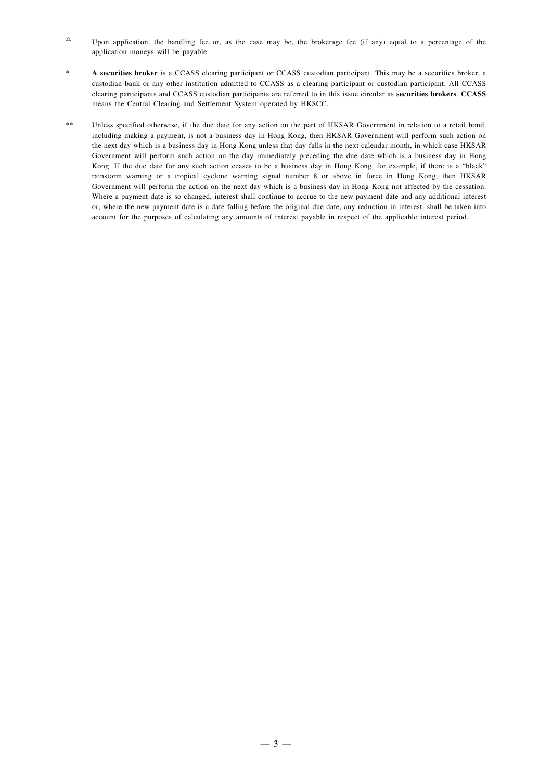- $\sim$  Upon application, the handling fee or, as the case may be, the brokerage fee (if any) equal to a percentage of the application moneys will be payable.
- \* **A securities broker** is a CCASS clearing participant or CCASS custodian participant. This may be a securities broker, a custodian bank or any other institution admitted to CCASS as a clearing participant or custodian participant. All CCASS clearing participants and CCASS custodian participants are referred to in this issue circular as **securities brokers**. **CCASS** means the Central Clearing and Settlement System operated by HKSCC.
- \*\* Unless specified otherwise, if the due date for any action on the part of HKSAR Government in relation to a retail bond, including making a payment, is not a business day in Hong Kong, then HKSAR Government will perform such action on the next day which is a business day in Hong Kong unless that day falls in the next calendar month, in which case HKSAR Government will perform such action on the day immediately preceding the due date which is a business day in Hong Kong. If the due date for any such action ceases to be a business day in Hong Kong, for example, if there is a "black" rainstorm warning or a tropical cyclone warning signal number 8 or above in force in Hong Kong, then HKSAR Government will perform the action on the next day which is a business day in Hong Kong not affected by the cessation. Where a payment date is so changed, interest shall continue to accrue to the new payment date and any additional interest or, where the new payment date is a date falling before the original due date, any reduction in interest, shall be taken into account for the purposes of calculating any amounts of interest payable in respect of the applicable interest period.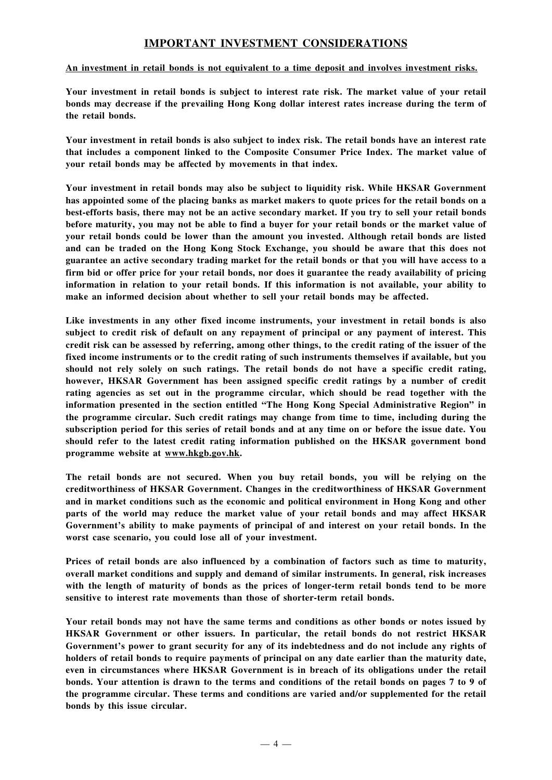## **IMPORTANT INVESTMENT CONSIDERATIONS**

#### **An investment in retail bonds is not equivalent to a time deposit and involves investment risks.**

**Your investment in retail bonds is subject to interest rate risk. The market value of your retail bonds may decrease if the prevailing Hong Kong dollar interest rates increase during the term of the retail bonds.**

Your investment in retail bonds is also subject to index risk. The retail bonds have an interest rate **that includes a component linked to the Composite Consumer Price Index. The market value of your retail bonds may be affected by movements in that index.**

**Your investment in retail bonds may also be subject to liquidity risk. While HKSAR Government** has appointed some of the placing banks as market makers to quote prices for the retail bonds on a best-efforts basis, there may not be an active secondary market. If you try to sell your retail bonds before maturity, you may not be able to find a buyer for your retail bonds or the market value of **your retail bonds could be lower than the amount you invested. Although retail bonds are listed and can be traded on the Hong Kong Stock Exchange, you should be aware that this does not** guarantee an active secondary trading market for the retail bonds or that you will have access to a firm bid or offer price for your retail bonds, nor does it guarantee the ready availability of pricing **information in relation to your retail bonds. If this information is not available, your ability to make an informed decision about whether to sell your retail bonds may be affected.**

**Like investments in any other fixed income instruments, your investment in retail bonds is also subject to credit risk of default on any repayment of principal or any payment of interest. This** credit risk can be assessed by referring, among other things, to the credit rating of the issuer of the **fixed income instruments or to the credit rating of such instruments themselves if available, but you should not rely solely on such ratings. The retail bonds do not have a specific credit rating, however, HKSAR Government has been assigned specific credit ratings by a number of credit rating agencies as set out in the programme circular, which should be read together with the information presented in the section entitled "The Hong Kong Special Administrative Region" in the programme circular. Such credit ratings may change from time to time, including during the** subscription period for this series of retail bonds and at any time on or before the issue date. You **should refer to the latest credit rating information published on the HKSAR government bond programme website at www.hkgb.gov.hk.**

**The retail bonds are not secured. When you buy retail bonds, you will be relying on the creditworthiness of HKSAR Government. Changes in the creditworthiness of HKSAR Government and in market conditions such as the economic and political environment in Hong Kong and other parts of the world may reduce the market value of your retail bonds and may affect HKSAR Government's ability to make payments of principal of and interest on your retail bonds. In the worst case scenario, you could lose all of your investment.**

**Prices of retail bonds are also influenced by a combination of factors such as time to maturity, overall market conditions and supply and demand of similar instruments. In general, risk increases with the length of maturity of bonds as the prices of longer-term retail bonds tend to be more sensitive to interest rate movements than those of shorter-term retail bonds.**

**Your retail bonds may not have the same terms and conditions as other bonds or notes issued by HKSAR Government or other issuers. In particular, the retail bonds do not restrict HKSAR Government's power to grant security for any of its indebtedness and do not include any rights of holders of retail bonds to require payments of principal on any date earlier than the maturity date, even in circumstances where HKSAR Government is in breach of its obligations under the retail** bonds. Your attention is drawn to the terms and conditions of the retail bonds on pages 7 to 9 of **the programme circular. These terms and conditions are varied and/or supplemented for the retail bonds by this issue circular.**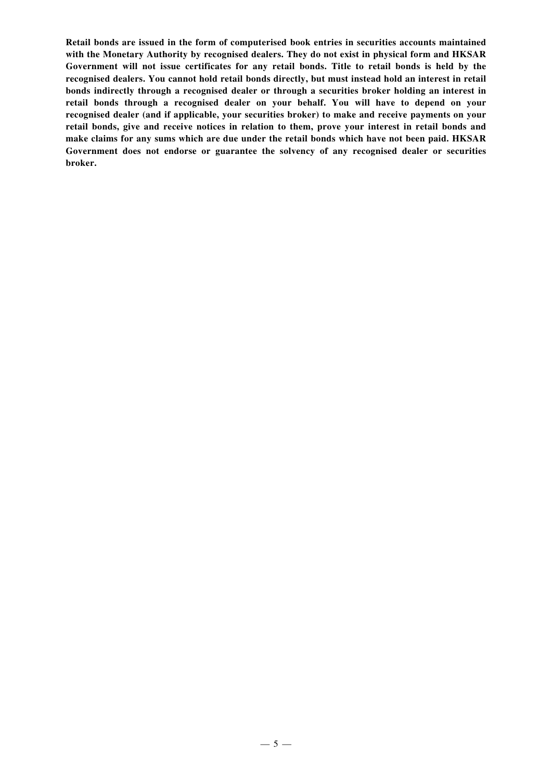**Retail bonds are issued in the form of computerised book entries in securities accounts maintained with the Monetary Authority by recognised dealers. They do not exist in physical form and HKSAR Government will not issue certificates for any retail bonds. Title to retail bonds is held by the recognised dealers. You cannot hold retail bonds directly, but must instead hold an interest in retail bonds indirectly through a recognised dealer or through a securities broker holding an interest in retail bonds through a recognised dealer on your behalf. You will have to depend on your recognised dealer (and if applicable, your securities broker) to make and receive payments on your retail bonds, give and receive notices in relation to them, prove your interest in retail bonds and make claims for any sums which are due under the retail bonds which have not been paid. HKSAR Government does not endorse or guarantee the solvency of any recognised dealer or securities broker.**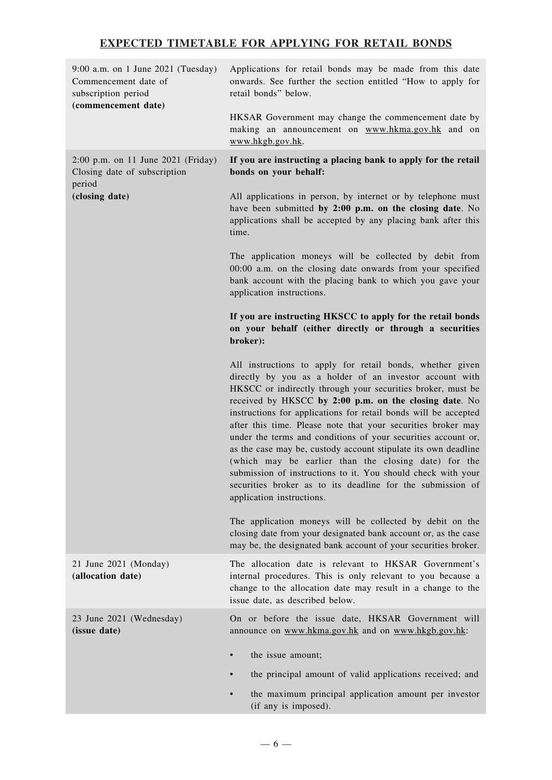## **EXPECTED TIMETABLE FOR APPLYING FOR RETAIL BONDS**

| 9:00 a.m. on 1 June 2021 (Tuesday)<br>Commencement date of<br>subscription period<br>(commencement date) | Applications for retail bonds may be made from this date<br>onwards. See further the section entitled "How to apply for<br>retail bonds" below.                                                                                                                                                                                                                                                                                                                                                                                                                                                                                                                                                                                        |
|----------------------------------------------------------------------------------------------------------|----------------------------------------------------------------------------------------------------------------------------------------------------------------------------------------------------------------------------------------------------------------------------------------------------------------------------------------------------------------------------------------------------------------------------------------------------------------------------------------------------------------------------------------------------------------------------------------------------------------------------------------------------------------------------------------------------------------------------------------|
|                                                                                                          | HKSAR Government may change the commencement date by<br>making an announcement on www.hkma.gov.hk and on<br>www.hkgb.gov.hk.                                                                                                                                                                                                                                                                                                                                                                                                                                                                                                                                                                                                           |
| 2:00 p.m. on 11 June 2021 (Friday)<br>Closing date of subscription<br>period                             | If you are instructing a placing bank to apply for the retail<br>bonds on your behalf:                                                                                                                                                                                                                                                                                                                                                                                                                                                                                                                                                                                                                                                 |
| (closing date)                                                                                           | All applications in person, by internet or by telephone must<br>have been submitted by 2:00 p.m. on the closing date. No<br>applications shall be accepted by any placing bank after this<br>time.                                                                                                                                                                                                                                                                                                                                                                                                                                                                                                                                     |
|                                                                                                          | The application moneys will be collected by debit from<br>00:00 a.m. on the closing date onwards from your specified<br>bank account with the placing bank to which you gave your<br>application instructions.                                                                                                                                                                                                                                                                                                                                                                                                                                                                                                                         |
|                                                                                                          | If you are instructing HKSCC to apply for the retail bonds<br>on your behalf (either directly or through a securities<br>broker):                                                                                                                                                                                                                                                                                                                                                                                                                                                                                                                                                                                                      |
|                                                                                                          | All instructions to apply for retail bonds, whether given<br>directly by you as a holder of an investor account with<br>HKSCC or indirectly through your securities broker, must be<br>received by HKSCC by 2:00 p.m. on the closing date. No<br>instructions for applications for retail bonds will be accepted<br>after this time. Please note that your securities broker may<br>under the terms and conditions of your securities account or,<br>as the case may be, custody account stipulate its own deadline<br>(which may be earlier than the closing date) for the<br>submission of instructions to it. You should check with your<br>securities broker as to its deadline for the submission of<br>application instructions. |
|                                                                                                          | The application moneys will be collected by debit on the<br>closing date from your designated bank account or, as the case<br>may be, the designated bank account of your securities broker.                                                                                                                                                                                                                                                                                                                                                                                                                                                                                                                                           |
| 21 June 2021 (Monday)<br>(allocation date)                                                               | The allocation date is relevant to HKSAR Government's<br>internal procedures. This is only relevant to you because a<br>change to the allocation date may result in a change to the<br>issue date, as described below.                                                                                                                                                                                                                                                                                                                                                                                                                                                                                                                 |
| 23 June 2021 (Wednesday)<br>(issue date)                                                                 | On or before the issue date, HKSAR Government will<br>announce on www.hkma.gov.hk and on www.hkgb.gov.hk:                                                                                                                                                                                                                                                                                                                                                                                                                                                                                                                                                                                                                              |
|                                                                                                          | the issue amount;<br>$\bullet$                                                                                                                                                                                                                                                                                                                                                                                                                                                                                                                                                                                                                                                                                                         |
|                                                                                                          | the principal amount of valid applications received; and                                                                                                                                                                                                                                                                                                                                                                                                                                                                                                                                                                                                                                                                               |
|                                                                                                          | the maximum principal application amount per investor<br>(if any is imposed).                                                                                                                                                                                                                                                                                                                                                                                                                                                                                                                                                                                                                                                          |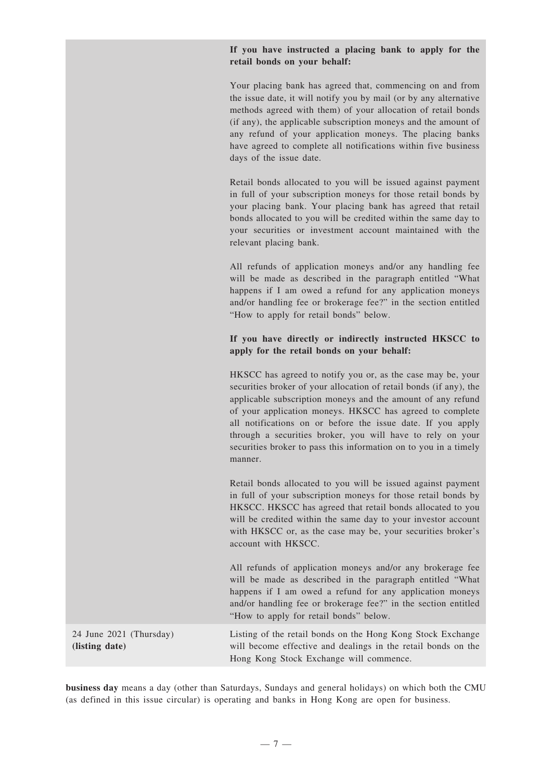#### **If you have instructed a placing bank to apply for the retail bonds on your behalf:**

Your placing bank has agreed that, commencing on and from the issue date, it will notify you by mail (or by any alternative methods agreed with them) of your allocation of retail bonds (if any), the applicable subscription moneys and the amount of any refund of your application moneys. The placing banks have agreed to complete all notifications within five business days of the issue date.

Retail bonds allocated to you will be issued against payment in full of your subscription moneys for those retail bonds by your placing bank. Your placing bank has agreed that retail bonds allocated to you will be credited within the same day to your securities or investment account maintained with the relevant placing bank.

All refunds of application moneys and/or any handling fee will be made as described in the paragraph entitled "What happens if I am owed a refund for any application moneys and/or handling fee or brokerage fee?" in the section entitled "How to apply for retail bonds" below.

#### **If you have directly or indirectly instructed HKSCC to apply for the retail bonds on your behalf:**

HKSCC has agreed to notify you or, as the case may be, your securities broker of your allocation of retail bonds (if any), the applicable subscription moneys and the amount of any refund of your application moneys. HKSCC has agreed to complete all notifications on or before the issue date. If you apply through a securities broker, you will have to rely on your securities broker to pass this information on to you in a timely manner.

Retail bonds allocated to you will be issued against payment in full of your subscription moneys for those retail bonds by HKSCC. HKSCC has agreed that retail bonds allocated to you will be credited within the same day to your investor account with HKSCC or, as the case may be, your securities broker's account with HKSCC.

All refunds of application moneys and/or any brokerage fee will be made as described in the paragraph entitled "What happens if I am owed a refund for any application moneys and/or handling fee or brokerage fee?" in the section entitled "How to apply for retail bonds" below.

24 June 2021 (Thursday) **(listing date)**

Listing of the retail bonds on the Hong Kong Stock Exchange will become effective and dealings in the retail bonds on the Hong Kong Stock Exchange will commence.

**business day** means a day (other than Saturdays, Sundays and general holidays) on which both the CMU (as defined in this issue circular) is operating and banks in Hong Kong are open for business.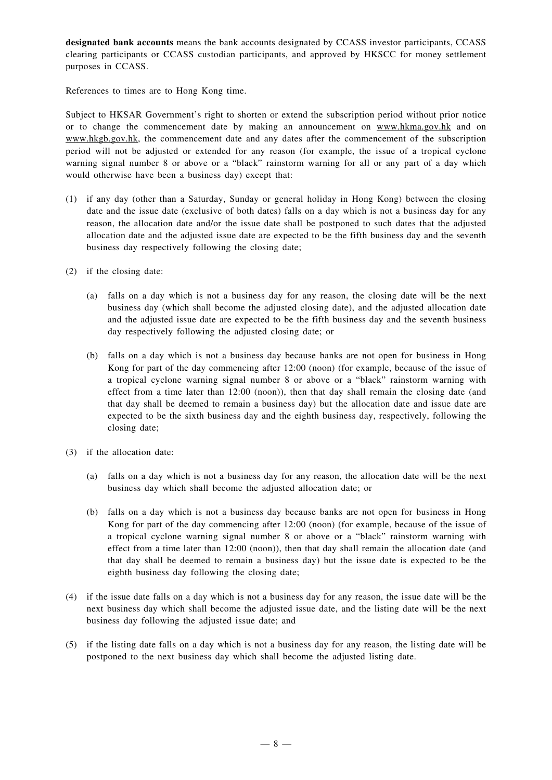**designated bank accounts** means the bank accounts designated by CCASS investor participants, CCASS clearing participants or CCASS custodian participants, and approved by HKSCC for money settlement purposes in CCASS.

References to times are to Hong Kong time.

Subject to HKSAR Government's right to shorten or extend the subscription period without prior notice or to change the commencement date by making an announcement on www.hkma.gov.hk and on www.hkgb.gov.hk, the commencement date and any dates after the commencement of the subscription period will not be adjusted or extended for any reason (for example, the issue of a tropical cyclone warning signal number 8 or above or a "black" rainstorm warning for all or any part of a day which would otherwise have been a business day) except that:

- (1) if any day (other than a Saturday, Sunday or general holiday in Hong Kong) between the closing date and the issue date (exclusive of both dates) falls on a day which is not a business day for any reason, the allocation date and/or the issue date shall be postponed to such dates that the adjusted allocation date and the adjusted issue date are expected to be the fifth business day and the seventh business day respectively following the closing date;
- (2) if the closing date:
	- (a) falls on a day which is not a business day for any reason, the closing date will be the next business day (which shall become the adjusted closing date), and the adjusted allocation date and the adjusted issue date are expected to be the fifth business day and the seventh business day respectively following the adjusted closing date; or
	- (b) falls on a day which is not a business day because banks are not open for business in Hong Kong for part of the day commencing after 12:00 (noon) (for example, because of the issue of a tropical cyclone warning signal number 8 or above or a "black" rainstorm warning with effect from a time later than 12:00 (noon)), then that day shall remain the closing date (and that day shall be deemed to remain a business day) but the allocation date and issue date are expected to be the sixth business day and the eighth business day, respectively, following the closing date;
- (3) if the allocation date:
	- (a) falls on a day which is not a business day for any reason, the allocation date will be the next business day which shall become the adjusted allocation date; or
	- (b) falls on a day which is not a business day because banks are not open for business in Hong Kong for part of the day commencing after 12:00 (noon) (for example, because of the issue of a tropical cyclone warning signal number 8 or above or a "black" rainstorm warning with effect from a time later than 12:00 (noon)), then that day shall remain the allocation date (and that day shall be deemed to remain a business day) but the issue date is expected to be the eighth business day following the closing date;
- (4) if the issue date falls on a day which is not a business day for any reason, the issue date will be the next business day which shall become the adjusted issue date, and the listing date will be the next business day following the adjusted issue date; and
- (5) if the listing date falls on a day which is not a business day for any reason, the listing date will be postponed to the next business day which shall become the adjusted listing date.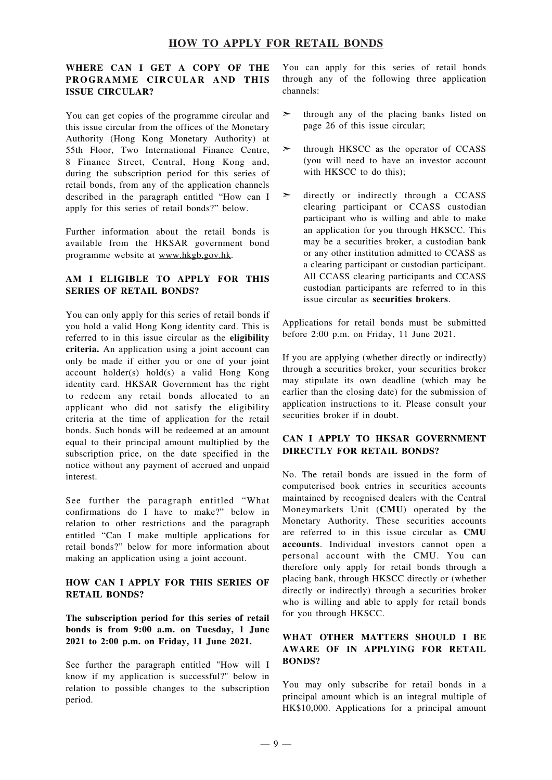#### **HOW TO APPLY FOR RETAIL BONDS**

#### **WHERE CAN I GET A COPY OF THE PROGRAMME CIRCULAR AND THIS ISSUE CIRCULAR?**

You can get copies of the programme circular and this issue circular from the offices of the Monetary Authority (Hong Kong Monetary Authority) at 55th Floor, Two International Finance Centre, 8 Finance Street, Central, Hong Kong and, during the subscription period for this series of retail bonds, from any of the application channels described in the paragraph entitled "How can I apply for this series of retail bonds?" below.

Further information about the retail bonds is available from the HKSAR government bond programme website at www.hkgb.gov.hk.

#### **AM I ELIGIBLE TO APPLY FOR THIS SERIES OF RETAIL BONDS?**

You can only apply for this series of retail bonds if you hold a valid Hong Kong identity card. This is referred to in this issue circular as the **eligibility criteria.** An application using a joint account can only be made if either you or one of your joint account holder(s) hold(s) a valid Hong Kong identity card. HKSAR Government has the right to redeem any retail bonds allocated to an applicant who did not satisfy the eligibility criteria at the time of application for the retail bonds. Such bonds will be redeemed at an amount equal to their principal amount multiplied by the subscription price, on the date specified in the notice without any payment of accrued and unpaid interest.

See further the paragraph entitled "What confirmations do I have to make?" below in relation to other restrictions and the paragraph entitled "Can I make multiple applications for retail bonds?" below for more information about making an application using a joint account.

#### **HOW CAN I APPLY FOR THIS SERIES OF RETAIL BONDS?**

**The subscription period for this series of retail bonds is from 9:00 a.m. on Tuesday, 1 June 2021 to 2:00 p.m. on Friday, 11 June 2021.**

See further the paragraph entitled "How will I know if my application is successful?" below in relation to possible changes to the subscription period.

You can apply for this series of retail bonds through any of the following three application channels:

- ➣ through any of the placing banks listed on page 26 of this issue circular;
- $\geq$  through HKSCC as the operator of CCASS (you will need to have an investor account with HKSCC to do this):
- directly or indirectly through a CCASS clearing participant or CCASS custodian participant who is willing and able to make an application for you through HKSCC. This may be a securities broker, a custodian bank or any other institution admitted to CCASS as a clearing participant or custodian participant. All CCASS clearing participants and CCASS custodian participants are referred to in this issue circular as **securities brokers**.

Applications for retail bonds must be submitted before 2:00 p.m. on Friday, 11 June 2021.

If you are applying (whether directly or indirectly) through a securities broker, your securities broker may stipulate its own deadline (which may be earlier than the closing date) for the submission of application instructions to it. Please consult your securities broker if in doubt.

#### **CAN I APPLY TO HKSAR GOVERNMENT DIRECTLY FOR RETAIL BONDS?**

No. The retail bonds are issued in the form of computerised book entries in securities accounts maintained by recognised dealers with the Central Moneymarkets Unit (**CMU**) operated by the Monetary Authority. These securities accounts are referred to in this issue circular as **CMU accounts**. Individual investors cannot open a personal account with the CMU. You can therefore only apply for retail bonds through a placing bank, through HKSCC directly or (whether directly or indirectly) through a securities broker who is willing and able to apply for retail bonds for you through HKSCC.

#### **WHAT OTHER MATTERS SHOULD I BE AWARE OF IN APPLYING FOR RETAIL BONDS?**

You may only subscribe for retail bonds in a principal amount which is an integral multiple of HK\$10,000. Applications for a principal amount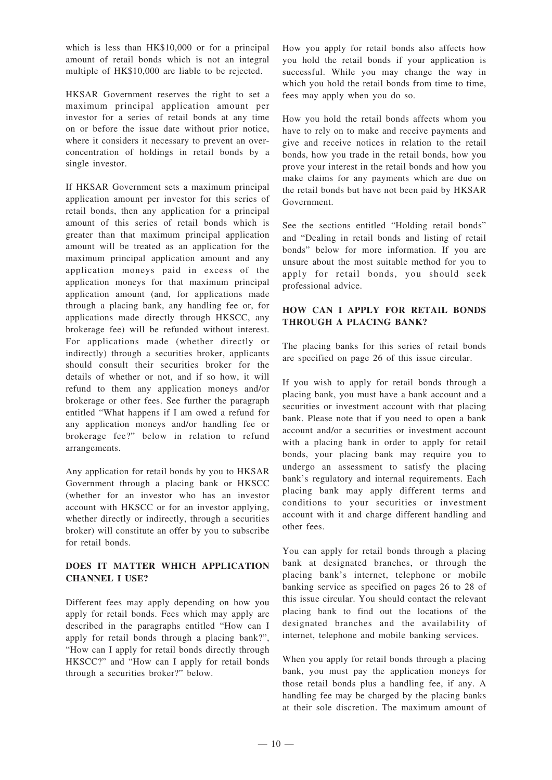which is less than HK\$10,000 or for a principal amount of retail bonds which is not an integral multiple of HK\$10,000 are liable to be rejected.

HKSAR Government reserves the right to set a maximum principal application amount per investor for a series of retail bonds at any time on or before the issue date without prior notice, where it considers it necessary to prevent an overconcentration of holdings in retail bonds by a single investor.

If HKSAR Government sets a maximum principal application amount per investor for this series of retail bonds, then any application for a principal amount of this series of retail bonds which is greater than that maximum principal application amount will be treated as an application for the maximum principal application amount and any application moneys paid in excess of the application moneys for that maximum principal application amount (and, for applications made through a placing bank, any handling fee or, for applications made directly through HKSCC, any brokerage fee) will be refunded without interest. For applications made (whether directly or indirectly) through a securities broker, applicants should consult their securities broker for the details of whether or not, and if so how, it will refund to them any application moneys and/or brokerage or other fees. See further the paragraph entitled "What happens if I am owed a refund for any application moneys and/or handling fee or brokerage fee?" below in relation to refund arrangements.

Any application for retail bonds by you to HKSAR Government through a placing bank or HKSCC (whether for an investor who has an investor account with HKSCC or for an investor applying, whether directly or indirectly, through a securities broker) will constitute an offer by you to subscribe for retail bonds.

#### **DOES IT MATTER WHICH APPLICATION CHANNEL I USE?**

Different fees may apply depending on how you apply for retail bonds. Fees which may apply are described in the paragraphs entitled "How can I apply for retail bonds through a placing bank?", "How can I apply for retail bonds directly through HKSCC?" and "How can I apply for retail bonds through a securities broker?" below.

How you apply for retail bonds also affects how you hold the retail bonds if your application is successful. While you may change the way in which you hold the retail bonds from time to time, fees may apply when you do so.

How you hold the retail bonds affects whom you have to rely on to make and receive payments and give and receive notices in relation to the retail bonds, how you trade in the retail bonds, how you prove your interest in the retail bonds and how you make claims for any payments which are due on the retail bonds but have not been paid by HKSAR Government.

See the sections entitled "Holding retail bonds" and "Dealing in retail bonds and listing of retail bonds" below for more information. If you are unsure about the most suitable method for you to apply for retail bonds, you should seek professional advice.

#### **HOW CAN I APPLY FOR RETAIL BONDS THROUGH A PLACING BANK?**

The placing banks for this series of retail bonds are specified on page 26 of this issue circular.

If you wish to apply for retail bonds through a placing bank, you must have a bank account and a securities or investment account with that placing bank. Please note that if you need to open a bank account and/or a securities or investment account with a placing bank in order to apply for retail bonds, your placing bank may require you to undergo an assessment to satisfy the placing bank's regulatory and internal requirements. Each placing bank may apply different terms and conditions to your securities or investment account with it and charge different handling and other fees.

You can apply for retail bonds through a placing bank at designated branches, or through the placing bank's internet, telephone or mobile banking service as specified on pages 26 to 28 of this issue circular. You should contact the relevant placing bank to find out the locations of the designated branches and the availability of internet, telephone and mobile banking services.

When you apply for retail bonds through a placing bank, you must pay the application moneys for those retail bonds plus a handling fee, if any. A handling fee may be charged by the placing banks at their sole discretion. The maximum amount of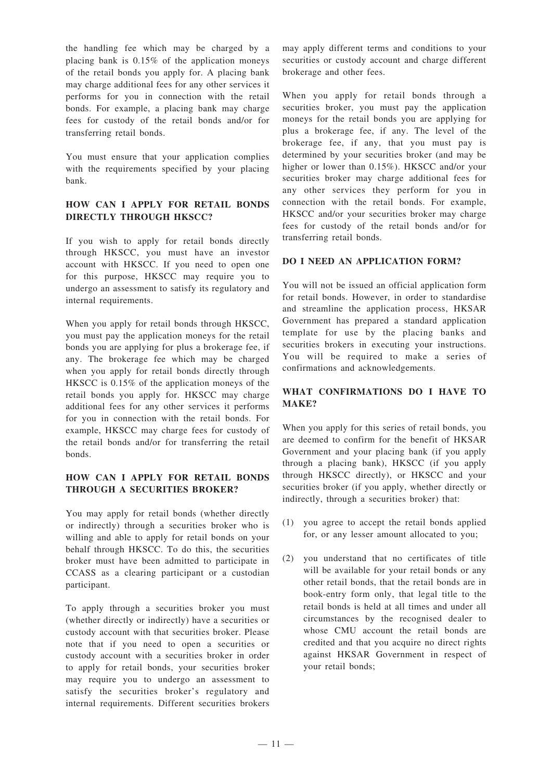the handling fee which may be charged by a placing bank is 0.15% of the application moneys of the retail bonds you apply for. A placing bank may charge additional fees for any other services it performs for you in connection with the retail bonds. For example, a placing bank may charge fees for custody of the retail bonds and/or for transferring retail bonds.

You must ensure that your application complies with the requirements specified by your placing bank.

#### **HOW CAN I APPLY FOR RETAIL BONDS DIRECTLY THROUGH HKSCC?**

If you wish to apply for retail bonds directly through HKSCC, you must have an investor account with HKSCC. If you need to open one for this purpose, HKSCC may require you to undergo an assessment to satisfy its regulatory and internal requirements.

When you apply for retail bonds through HKSCC, you must pay the application moneys for the retail bonds you are applying for plus a brokerage fee, if any. The brokerage fee which may be charged when you apply for retail bonds directly through HKSCC is 0.15% of the application moneys of the retail bonds you apply for. HKSCC may charge additional fees for any other services it performs for you in connection with the retail bonds. For example, HKSCC may charge fees for custody of the retail bonds and/or for transferring the retail bonds.

#### **HOW CAN I APPLY FOR RETAIL BONDS THROUGH A SECURITIES BROKER?**

You may apply for retail bonds (whether directly or indirectly) through a securities broker who is willing and able to apply for retail bonds on your behalf through HKSCC. To do this, the securities broker must have been admitted to participate in CCASS as a clearing participant or a custodian participant.

To apply through a securities broker you must (whether directly or indirectly) have a securities or custody account with that securities broker. Please note that if you need to open a securities or custody account with a securities broker in order to apply for retail bonds, your securities broker may require you to undergo an assessment to satisfy the securities broker's regulatory and internal requirements. Different securities brokers

may apply different terms and conditions to your securities or custody account and charge different brokerage and other fees.

When you apply for retail bonds through a securities broker, you must pay the application moneys for the retail bonds you are applying for plus a brokerage fee, if any. The level of the brokerage fee, if any, that you must pay is determined by your securities broker (and may be higher or lower than 0.15%). HKSCC and/or your securities broker may charge additional fees for any other services they perform for you in connection with the retail bonds. For example, HKSCC and/or your securities broker may charge fees for custody of the retail bonds and/or for transferring retail bonds.

#### **DO I NEED AN APPLICATION FORM?**

You will not be issued an official application form for retail bonds. However, in order to standardise and streamline the application process, HKSAR Government has prepared a standard application template for use by the placing banks and securities brokers in executing your instructions. You will be required to make a series of confirmations and acknowledgements.

#### **WHAT CONFIRMATIONS DO I HAVE TO MAKE?**

When you apply for this series of retail bonds, you are deemed to confirm for the benefit of HKSAR Government and your placing bank (if you apply through a placing bank), HKSCC (if you apply through HKSCC directly), or HKSCC and your securities broker (if you apply, whether directly or indirectly, through a securities broker) that:

- (1) you agree to accept the retail bonds applied for, or any lesser amount allocated to you;
- (2) you understand that no certificates of title will be available for your retail bonds or any other retail bonds, that the retail bonds are in book-entry form only, that legal title to the retail bonds is held at all times and under all circumstances by the recognised dealer to whose CMU account the retail bonds are credited and that you acquire no direct rights against HKSAR Government in respect of your retail bonds;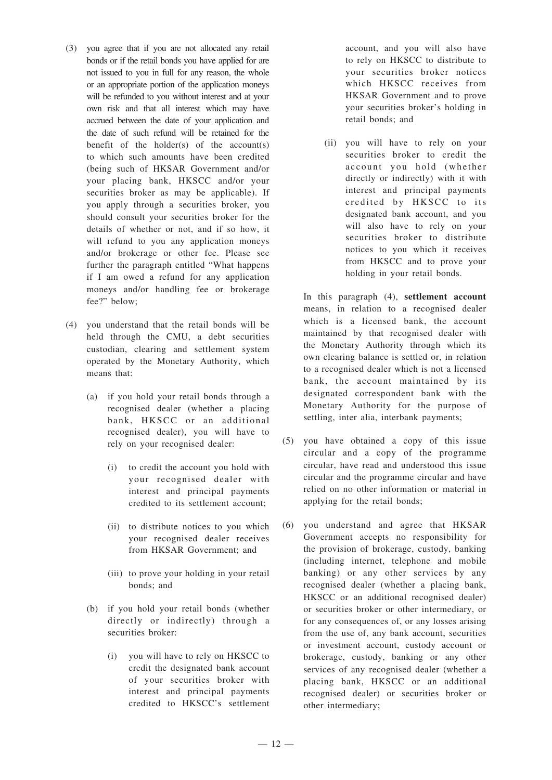- (3) you agree that if you are not allocated any retail bonds or if the retail bonds you have applied for are not issued to you in full for any reason, the whole or an appropriate portion of the application moneys will be refunded to you without interest and at your own risk and that all interest which may have accrued between the date of your application and the date of such refund will be retained for the benefit of the holder(s) of the  $account(s)$ to which such amounts have been credited (being such of HKSAR Government and/or your placing bank, HKSCC and/or your securities broker as may be applicable). If you apply through a securities broker, you should consult your securities broker for the details of whether or not, and if so how, it will refund to you any application moneys and/or brokerage or other fee. Please see further the paragraph entitled "What happens if I am owed a refund for any application moneys and/or handling fee or brokerage fee?" below;
- (4) you understand that the retail bonds will be held through the CMU, a debt securities custodian, clearing and settlement system operated by the Monetary Authority, which means that:
	- (a) if you hold your retail bonds through a recognised dealer (whether a placing bank, HKSCC or an additional recognised dealer), you will have to rely on your recognised dealer:
		- (i) to credit the account you hold with your recognised dealer with interest and principal payments credited to its settlement account;
		- (ii) to distribute notices to you which your recognised dealer receives from HKSAR Government; and
		- (iii) to prove your holding in your retail bonds; and
	- (b) if you hold your retail bonds (whether directly or indirectly) through a securities broker:
		- (i) you will have to rely on HKSCC to credit the designated bank account of your securities broker with interest and principal payments credited to HKSCC's settlement

account, and you will also have to rely on HKSCC to distribute to your securities broker notices which HKSCC receives from HKSAR Government and to prove your securities broker's holding in retail bonds; and

(ii) you will have to rely on your securities broker to credit the account you hold (whether directly or indirectly) with it with interest and principal payments credited by HKSCC to its designated bank account, and you will also have to rely on your securities broker to distribute notices to you which it receives from HKSCC and to prove your holding in your retail bonds.

In this paragraph (4), **settlement account** means, in relation to a recognised dealer which is a licensed bank, the account maintained by that recognised dealer with the Monetary Authority through which its own clearing balance is settled or, in relation to a recognised dealer which is not a licensed bank, the account maintained by its designated correspondent bank with the Monetary Authority for the purpose of settling, inter alia, interbank payments;

- (5) you have obtained a copy of this issue circular and a copy of the programme circular, have read and understood this issue circular and the programme circular and have relied on no other information or material in applying for the retail bonds;
- (6) you understand and agree that HKSAR Government accepts no responsibility for the provision of brokerage, custody, banking (including internet, telephone and mobile banking) or any other services by any recognised dealer (whether a placing bank, HKSCC or an additional recognised dealer) or securities broker or other intermediary, or for any consequences of, or any losses arising from the use of, any bank account, securities or investment account, custody account or brokerage, custody, banking or any other services of any recognised dealer (whether a placing bank, HKSCC or an additional recognised dealer) or securities broker or other intermediary;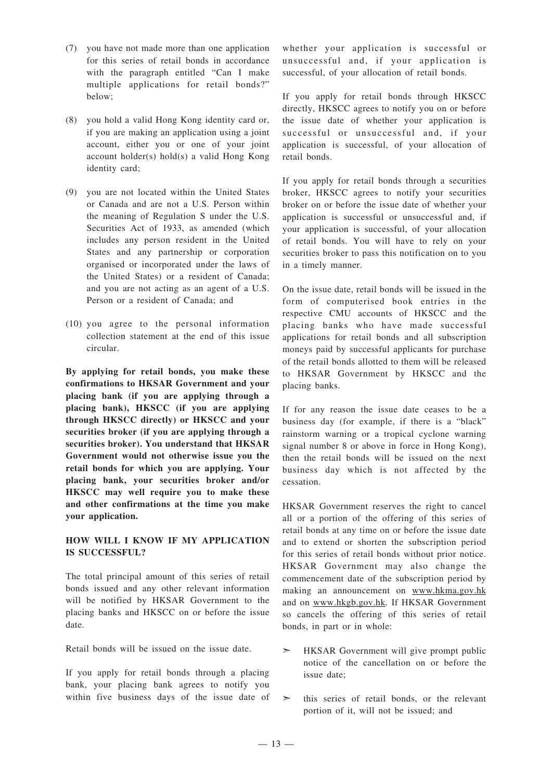- (7) you have not made more than one application for this series of retail bonds in accordance with the paragraph entitled "Can I make multiple applications for retail bonds?" below;
- (8) you hold a valid Hong Kong identity card or, if you are making an application using a joint account, either you or one of your joint account holder(s) hold(s) a valid Hong Kong identity card;
- (9) you are not located within the United States or Canada and are not a U.S. Person within the meaning of Regulation S under the U.S. Securities Act of 1933, as amended (which includes any person resident in the United States and any partnership or corporation organised or incorporated under the laws of the United States) or a resident of Canada; and you are not acting as an agent of a U.S. Person or a resident of Canada; and
- (10) you agree to the personal information collection statement at the end of this issue circular.

**By applying for retail bonds, you make these confirmations to HKSAR Government and your placing bank (if you are applying through a placing bank), HKSCC (if you are applying through HKSCC directly) or HKSCC and your securities broker (if you are applying through a securities broker). You understand that HKSAR Government would not otherwise issue you the retail bonds for which you are applying. Your placing bank, your securities broker and/or HKSCC may well require you to make these and other confirmations at the time you make your application.**

#### **HOW WILL I KNOW IF MY APPLICATION IS SUCCESSFUL?**

The total principal amount of this series of retail bonds issued and any other relevant information will be notified by HKSAR Government to the placing banks and HKSCC on or before the issue date.

Retail bonds will be issued on the issue date.

If you apply for retail bonds through a placing bank, your placing bank agrees to notify you within five business days of the issue date of

whether your application is successful or unsuccessful and, if your application is successful, of your allocation of retail bonds.

If you apply for retail bonds through HKSCC directly, HKSCC agrees to notify you on or before the issue date of whether your application is successful or unsuccessful and, if your application is successful, of your allocation of retail bonds.

If you apply for retail bonds through a securities broker, HKSCC agrees to notify your securities broker on or before the issue date of whether your application is successful or unsuccessful and, if your application is successful, of your allocation of retail bonds. You will have to rely on your securities broker to pass this notification on to you in a timely manner.

On the issue date, retail bonds will be issued in the form of computerised book entries in the respective CMU accounts of HKSCC and the placing banks who have made successful applications for retail bonds and all subscription moneys paid by successful applicants for purchase of the retail bonds allotted to them will be released to HKSAR Government by HKSCC and the placing banks.

If for any reason the issue date ceases to be a business day (for example, if there is a "black" rainstorm warning or a tropical cyclone warning signal number 8 or above in force in Hong Kong), then the retail bonds will be issued on the next business day which is not affected by the cessation.

HKSAR Government reserves the right to cancel all or a portion of the offering of this series of retail bonds at any time on or before the issue date and to extend or shorten the subscription period for this series of retail bonds without prior notice. HKSAR Government may also change the commencement date of the subscription period by making an announcement on www.hkma.gov.hk and on www.hkgb.gov.hk. If HKSAR Government so cancels the offering of this series of retail bonds, in part or in whole:

- ➣ HKSAR Government will give prompt public notice of the cancellation on or before the issue date;
- $\geq$  this series of retail bonds, or the relevant portion of it, will not be issued; and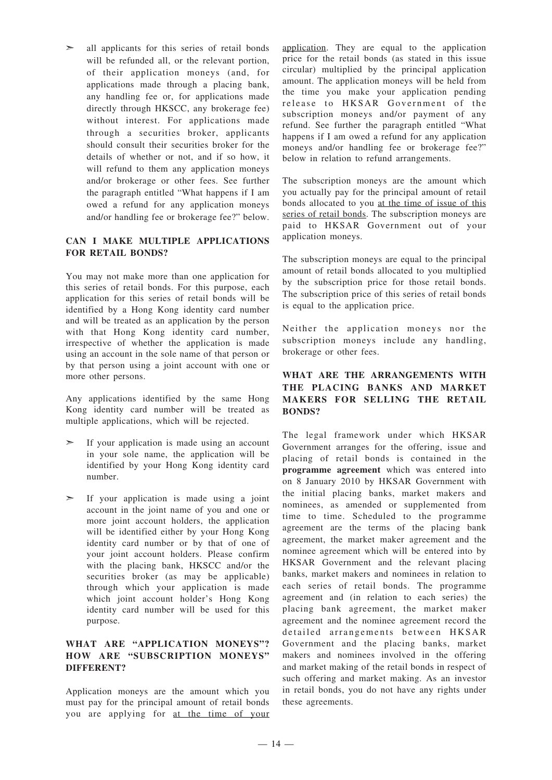$\geq$  all applicants for this series of retail bonds will be refunded all, or the relevant portion, of their application moneys (and, for applications made through a placing bank, any handling fee or, for applications made directly through HKSCC, any brokerage fee) without interest. For applications made through a securities broker, applicants should consult their securities broker for the details of whether or not, and if so how, it will refund to them any application moneys and/or brokerage or other fees. See further the paragraph entitled "What happens if I am owed a refund for any application moneys and/or handling fee or brokerage fee?" below.

#### **CAN I MAKE MULTIPLE APPLICATIONS FOR RETAIL BONDS?**

You may not make more than one application for this series of retail bonds. For this purpose, each application for this series of retail bonds will be identified by a Hong Kong identity card number and will be treated as an application by the person with that Hong Kong identity card number, irrespective of whether the application is made using an account in the sole name of that person or by that person using a joint account with one or more other persons.

Any applications identified by the same Hong Kong identity card number will be treated as multiple applications, which will be rejected.

- $\geq$  If your application is made using an account in your sole name, the application will be identified by your Hong Kong identity card number.
- ➣ If your application is made using a joint account in the joint name of you and one or more joint account holders, the application will be identified either by your Hong Kong identity card number or by that of one of your joint account holders. Please confirm with the placing bank, HKSCC and/or the securities broker (as may be applicable) through which your application is made which joint account holder's Hong Kong identity card number will be used for this purpose.

#### **WHAT ARE "APPLICATION MONEYS"? HOW ARE "SUBSCRIPTION MONEYS" DIFFERENT?**

Application moneys are the amount which you must pay for the principal amount of retail bonds you are applying for at the time of your application. They are equal to the application price for the retail bonds (as stated in this issue circular) multiplied by the principal application amount. The application moneys will be held from the time you make your application pending release to HKSAR Government of the subscription moneys and/or payment of any refund. See further the paragraph entitled "What happens if I am owed a refund for any application moneys and/or handling fee or brokerage fee?" below in relation to refund arrangements.

The subscription moneys are the amount which you actually pay for the principal amount of retail bonds allocated to you at the time of issue of this series of retail bonds. The subscription moneys are paid to HKSAR Government out of your application moneys.

The subscription moneys are equal to the principal amount of retail bonds allocated to you multiplied by the subscription price for those retail bonds. The subscription price of this series of retail bonds is equal to the application price.

Neither the application moneys nor the subscription moneys include any handling, brokerage or other fees.

#### **WHAT ARE THE ARRANGEMENTS WITH THE PLACING BANKS AND MARKET MAKERS FOR SELLING THE RETAIL BONDS?**

The legal framework under which HKSAR Government arranges for the offering, issue and placing of retail bonds is contained in the **programme agreement** which was entered into on 8 January 2010 by HKSAR Government with the initial placing banks, market makers and nominees, as amended or supplemented from time to time. Scheduled to the programme agreement are the terms of the placing bank agreement, the market maker agreement and the nominee agreement which will be entered into by HKSAR Government and the relevant placing banks, market makers and nominees in relation to each series of retail bonds. The programme agreement and (in relation to each series) the placing bank agreement, the market maker agreement and the nominee agreement record the detailed arrangements between HKSAR Government and the placing banks, market makers and nominees involved in the offering and market making of the retail bonds in respect of such offering and market making. As an investor in retail bonds, you do not have any rights under these agreements.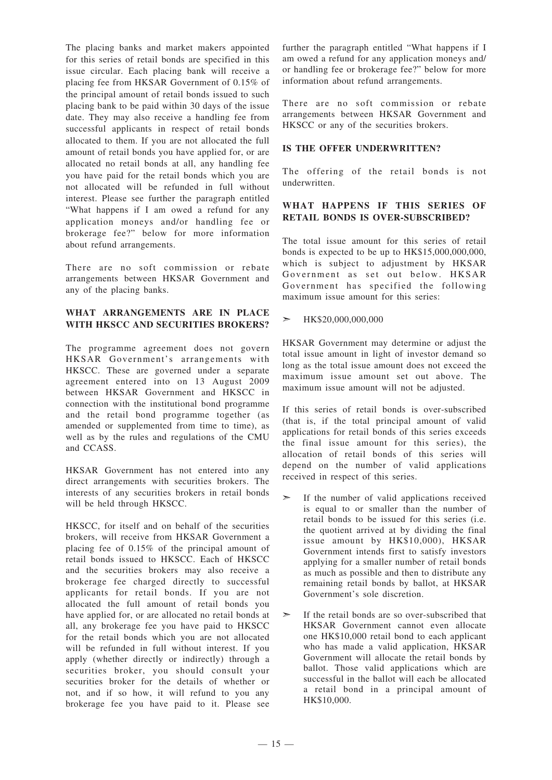The placing banks and market makers appointed for this series of retail bonds are specified in this issue circular. Each placing bank will receive a placing fee from HKSAR Government of 0.15% of the principal amount of retail bonds issued to such placing bank to be paid within 30 days of the issue date. They may also receive a handling fee from successful applicants in respect of retail bonds allocated to them. If you are not allocated the full amount of retail bonds you have applied for, or are allocated no retail bonds at all, any handling fee you have paid for the retail bonds which you are not allocated will be refunded in full without interest. Please see further the paragraph entitled "What happens if I am owed a refund for any application moneys and/or handling fee or brokerage fee?" below for more information about refund arrangements.

There are no soft commission or rebate arrangements between HKSAR Government and any of the placing banks.

#### **WHAT ARRANGEMENTS ARE IN PLACE WITH HKSCC AND SECURITIES BROKERS?**

The programme agreement does not govern HKSAR Government's arrangements with HKSCC. These are governed under a separate agreement entered into on 13 August 2009 between HKSAR Government and HKSCC in connection with the institutional bond programme and the retail bond programme together (as amended or supplemented from time to time), as well as by the rules and regulations of the CMU and CCASS.

HKSAR Government has not entered into any direct arrangements with securities brokers. The interests of any securities brokers in retail bonds will be held through HKSCC.

HKSCC, for itself and on behalf of the securities brokers, will receive from HKSAR Government a placing fee of 0.15% of the principal amount of retail bonds issued to HKSCC. Each of HKSCC and the securities brokers may also receive a brokerage fee charged directly to successful applicants for retail bonds. If you are not allocated the full amount of retail bonds you have applied for, or are allocated no retail bonds at all, any brokerage fee you have paid to HKSCC for the retail bonds which you are not allocated will be refunded in full without interest. If you apply (whether directly or indirectly) through a securities broker, you should consult your securities broker for the details of whether or not, and if so how, it will refund to you any brokerage fee you have paid to it. Please see

further the paragraph entitled "What happens if I am owed a refund for any application moneys and/ or handling fee or brokerage fee?" below for more information about refund arrangements.

There are no soft commission or rebate arrangements between HKSAR Government and HKSCC or any of the securities brokers.

#### **IS THE OFFER UNDERWRITTEN?**

The offering of the retail bonds is not underwritten.

#### **WHAT HAPPENS IF THIS SERIES OF RETAIL BONDS IS OVER-SUBSCRIBED?**

The total issue amount for this series of retail bonds is expected to be up to  $HK$15,000,000,000$ , which is subject to adjustment by HKSAR Government as set out below. HKSAR Government has specified the following maximum issue amount for this series:

#### ➣ HK\$20,000,000,000

HKSAR Government may determine or adjust the total issue amount in light of investor demand so long as the total issue amount does not exceed the maximum issue amount set out above. The maximum issue amount will not be adjusted.

If this series of retail bonds is over-subscribed (that is, if the total principal amount of valid applications for retail bonds of this series exceeds the final issue amount for this series), the allocation of retail bonds of this series will depend on the number of valid applications received in respect of this series.

- ➣ If the number of valid applications received is equal to or smaller than the number of retail bonds to be issued for this series (i.e. the quotient arrived at by dividing the final issue amount by HK\$10,000), HKSAR Government intends first to satisfy investors applying for a smaller number of retail bonds as much as possible and then to distribute any remaining retail bonds by ballot, at HKSAR Government's sole discretion.
- $\geq$  If the retail bonds are so over-subscribed that HKSAR Government cannot even allocate one HK\$10,000 retail bond to each applicant who has made a valid application, HKSAR Government will allocate the retail bonds by ballot. Those valid applications which are successful in the ballot will each be allocated a retail bond in a principal amount of HK\$10,000.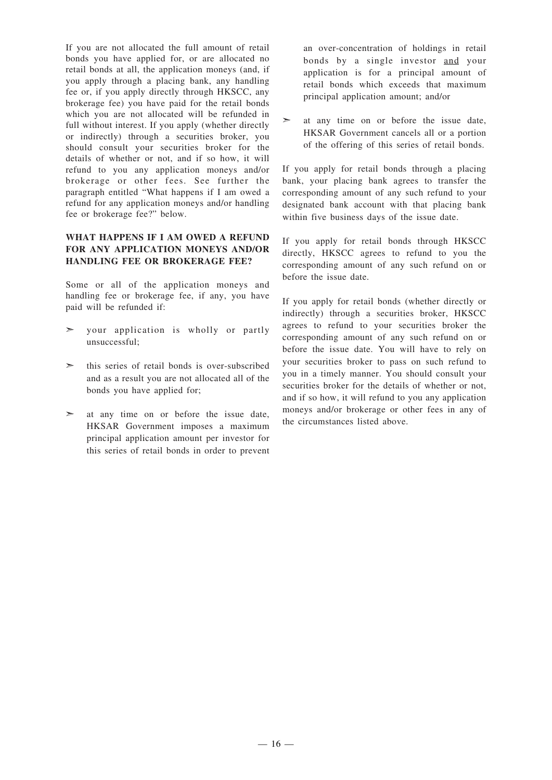If you are not allocated the full amount of retail bonds you have applied for, or are allocated no retail bonds at all, the application moneys (and, if you apply through a placing bank, any handling fee or, if you apply directly through HKSCC, any brokerage fee) you have paid for the retail bonds which you are not allocated will be refunded in full without interest. If you apply (whether directly or indirectly) through a securities broker, you should consult your securities broker for the details of whether or not, and if so how, it will refund to you any application moneys and/or brokerage or other fees. See further the paragraph entitled "What happens if I am owed a refund for any application moneys and/or handling fee or brokerage fee?" below.

#### **WHAT HAPPENS IF I AM OWED A REFUND FOR ANY APPLICATION MONEYS AND/OR HANDLING FEE OR BROKERAGE FEE?**

Some or all of the application moneys and handling fee or brokerage fee, if any, you have paid will be refunded if:

- your application is wholly or partly unsuccessful;
- $\geq$  this series of retail bonds is over-subscribed and as a result you are not allocated all of the bonds you have applied for;
- $\geq$  at any time on or before the issue date, HKSAR Government imposes a maximum principal application amount per investor for this series of retail bonds in order to prevent

an over-concentration of holdings in retail bonds by a single investor and your application is for a principal amount of retail bonds which exceeds that maximum principal application amount; and/or

➣ at any time on or before the issue date, HKSAR Government cancels all or a portion of the offering of this series of retail bonds.

If you apply for retail bonds through a placing bank, your placing bank agrees to transfer the corresponding amount of any such refund to your designated bank account with that placing bank within five business days of the issue date.

If you apply for retail bonds through HKSCC directly, HKSCC agrees to refund to you the corresponding amount of any such refund on or before the issue date.

If you apply for retail bonds (whether directly or indirectly) through a securities broker, HKSCC agrees to refund to your securities broker the corresponding amount of any such refund on or before the issue date. You will have to rely on your securities broker to pass on such refund to you in a timely manner. You should consult your securities broker for the details of whether or not, and if so how, it will refund to you any application moneys and/or brokerage or other fees in any of the circumstances listed above.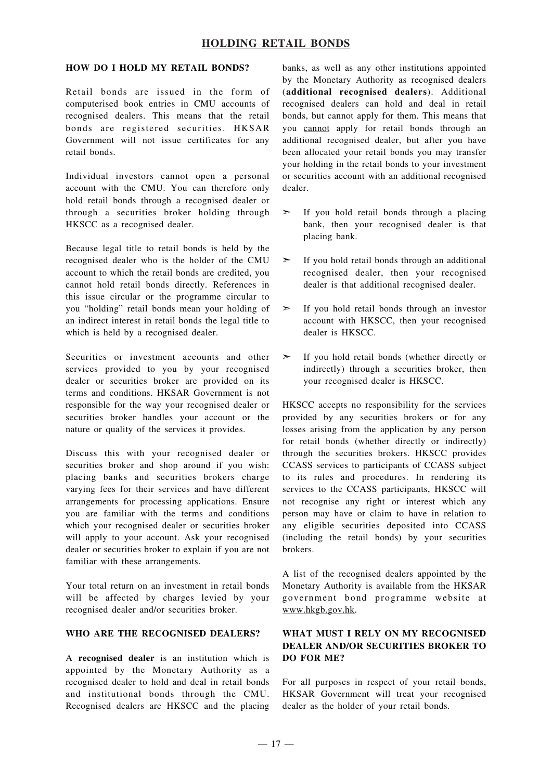## **HOLDING RETAIL BONDS**

#### **HOW DO I HOLD MY RETAIL BONDS?**

Retail bonds are issued in the form of computerised book entries in CMU accounts of recognised dealers. This means that the retail bonds are registered securities. HKSAR Government will not issue certificates for any retail bonds.

Individual investors cannot open a personal account with the CMU. You can therefore only hold retail bonds through a recognised dealer or through a securities broker holding through HKSCC as a recognised dealer.

Because legal title to retail bonds is held by the recognised dealer who is the holder of the CMU account to which the retail bonds are credited, you cannot hold retail bonds directly. References in this issue circular or the programme circular to you "holding" retail bonds mean your holding of an indirect interest in retail bonds the legal title to which is held by a recognised dealer.

Securities or investment accounts and other services provided to you by your recognised dealer or securities broker are provided on its terms and conditions. HKSAR Government is not responsible for the way your recognised dealer or securities broker handles your account or the nature or quality of the services it provides.

Discuss this with your recognised dealer or securities broker and shop around if you wish: placing banks and securities brokers charge varying fees for their services and have different arrangements for processing applications. Ensure you are familiar with the terms and conditions which your recognised dealer or securities broker will apply to your account. Ask your recognised dealer or securities broker to explain if you are not familiar with these arrangements.

Your total return on an investment in retail bonds will be affected by charges levied by your recognised dealer and/or securities broker.

#### **WHO ARE THE RECOGNISED DEALERS?**

A **recognised dealer** is an institution which is appointed by the Monetary Authority as a recognised dealer to hold and deal in retail bonds and institutional bonds through the CMU. Recognised dealers are HKSCC and the placing banks, as well as any other institutions appointed by the Monetary Authority as recognised dealers (**additional recognised dealers**). Additional recognised dealers can hold and deal in retail bonds, but cannot apply for them. This means that you cannot apply for retail bonds through an additional recognised dealer, but after you have been allocated your retail bonds you may transfer your holding in the retail bonds to your investment or securities account with an additional recognised dealer.

- ➣ If you hold retail bonds through a placing bank, then your recognised dealer is that placing bank.
- $\geq$  If you hold retail bonds through an additional recognised dealer, then your recognised dealer is that additional recognised dealer.
- ➣ If you hold retail bonds through an investor account with HKSCC, then your recognised dealer is HKSCC.
- ➣ If you hold retail bonds (whether directly or indirectly) through a securities broker, then your recognised dealer is HKSCC.

HKSCC accepts no responsibility for the services provided by any securities brokers or for any losses arising from the application by any person for retail bonds (whether directly or indirectly) through the securities brokers. HKSCC provides CCASS services to participants of CCASS subject to its rules and procedures. In rendering its services to the CCASS participants, HKSCC will not recognise any right or interest which any person may have or claim to have in relation to any eligible securities deposited into CCASS (including the retail bonds) by your securities brokers.

A list of the recognised dealers appointed by the Monetary Authority is available from the HKSAR government bond programme website at www.hkgb.gov.hk.

#### **WHAT MUST I RELY ON MY RECOGNISED DEALER AND/OR SECURITIES BROKER TO DO FOR ME?**

For all purposes in respect of your retail bonds, HKSAR Government will treat your recognised dealer as the holder of your retail bonds.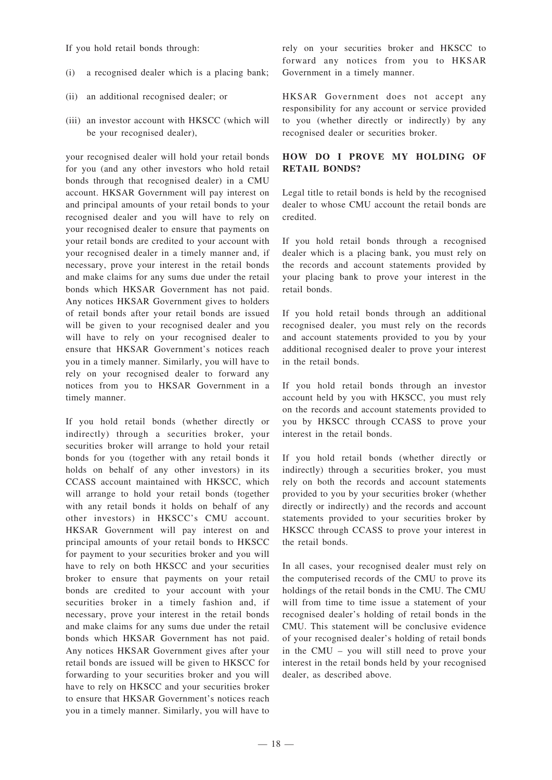If you hold retail bonds through:

- (i) a recognised dealer which is a placing bank;
- (ii) an additional recognised dealer; or
- (iii) an investor account with HKSCC (which will be your recognised dealer),

your recognised dealer will hold your retail bonds for you (and any other investors who hold retail bonds through that recognised dealer) in a CMU account. HKSAR Government will pay interest on and principal amounts of your retail bonds to your recognised dealer and you will have to rely on your recognised dealer to ensure that payments on your retail bonds are credited to your account with your recognised dealer in a timely manner and, if necessary, prove your interest in the retail bonds and make claims for any sums due under the retail bonds which HKSAR Government has not paid. Any notices HKSAR Government gives to holders of retail bonds after your retail bonds are issued will be given to your recognised dealer and you will have to rely on your recognised dealer to ensure that HKSAR Government's notices reach you in a timely manner. Similarly, you will have to rely on your recognised dealer to forward any notices from you to HKSAR Government in a timely manner.

If you hold retail bonds (whether directly or indirectly) through a securities broker, your securities broker will arrange to hold your retail bonds for you (together with any retail bonds it holds on behalf of any other investors) in its CCASS account maintained with HKSCC, which will arrange to hold your retail bonds (together with any retail bonds it holds on behalf of any other investors) in HKSCC's CMU account. HKSAR Government will pay interest on and principal amounts of your retail bonds to HKSCC for payment to your securities broker and you will have to rely on both HKSCC and your securities broker to ensure that payments on your retail bonds are credited to your account with your securities broker in a timely fashion and, if necessary, prove your interest in the retail bonds and make claims for any sums due under the retail bonds which HKSAR Government has not paid. Any notices HKSAR Government gives after your retail bonds are issued will be given to HKSCC for forwarding to your securities broker and you will have to rely on HKSCC and your securities broker to ensure that HKSAR Government's notices reach you in a timely manner. Similarly, you will have to

rely on your securities broker and HKSCC to forward any notices from you to HKSAR Government in a timely manner.

HKSAR Government does not accept any responsibility for any account or service provided to you (whether directly or indirectly) by any recognised dealer or securities broker.

#### **HOW DO I PROVE MY HOLDING OF RETAIL BONDS?**

Legal title to retail bonds is held by the recognised dealer to whose CMU account the retail bonds are credited.

If you hold retail bonds through a recognised dealer which is a placing bank, you must rely on the records and account statements provided by your placing bank to prove your interest in the retail bonds.

If you hold retail bonds through an additional recognised dealer, you must rely on the records and account statements provided to you by your additional recognised dealer to prove your interest in the retail bonds.

If you hold retail bonds through an investor account held by you with HKSCC, you must rely on the records and account statements provided to you by HKSCC through CCASS to prove your interest in the retail bonds.

If you hold retail bonds (whether directly or indirectly) through a securities broker, you must rely on both the records and account statements provided to you by your securities broker (whether directly or indirectly) and the records and account statements provided to your securities broker by HKSCC through CCASS to prove your interest in the retail bonds.

In all cases, your recognised dealer must rely on the computerised records of the CMU to prove its holdings of the retail bonds in the CMU. The CMU will from time to time issue a statement of your recognised dealer's holding of retail bonds in the CMU. This statement will be conclusive evidence of your recognised dealer's holding of retail bonds in the CMU – you will still need to prove your interest in the retail bonds held by your recognised dealer, as described above.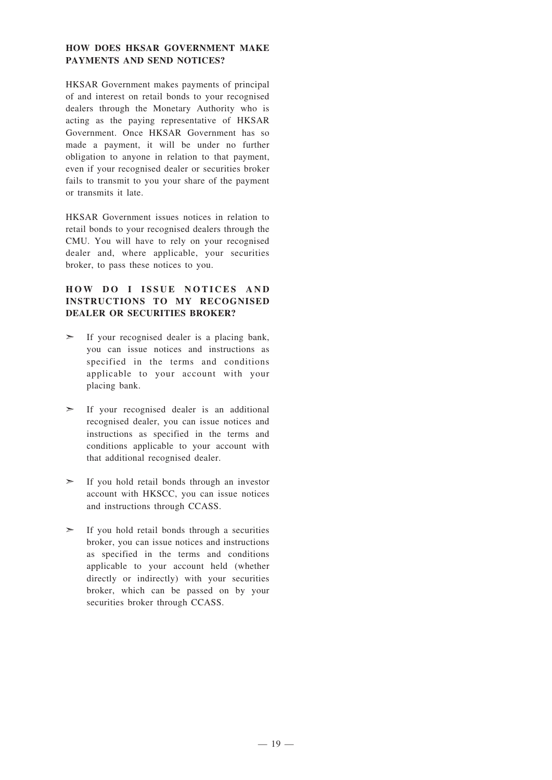#### **HOW DOES HKSAR GOVERNMENT MAKE PAYMENTS AND SEND NOTICES?**

HKSAR Government makes payments of principal of and interest on retail bonds to your recognised dealers through the Monetary Authority who is acting as the paying representative of HKSAR Government. Once HKSAR Government has so made a payment, it will be under no further obligation to anyone in relation to that payment, even if your recognised dealer or securities broker fails to transmit to you your share of the payment or transmits it late.

HKSAR Government issues notices in relation to retail bonds to your recognised dealers through the CMU. You will have to rely on your recognised dealer and, where applicable, your securities broker, to pass these notices to you.

#### **HOW D O I ISSUE NOTICES AND INSTRUCTIONS TO MY RECOGNISED DEALER OR SECURITIES BROKER?**

- $\geq$  If your recognised dealer is a placing bank, you can issue notices and instructions as specified in the terms and conditions applicable to your account with your placing bank.
- ➣ If your recognised dealer is an additional recognised dealer, you can issue notices and instructions as specified in the terms and conditions applicable to your account with that additional recognised dealer.
- ➣ If you hold retail bonds through an investor account with HKSCC, you can issue notices and instructions through CCASS.
- ➣ If you hold retail bonds through a securities broker, you can issue notices and instructions as specified in the terms and conditions applicable to your account held (whether directly or indirectly) with your securities broker, which can be passed on by your securities broker through CCASS.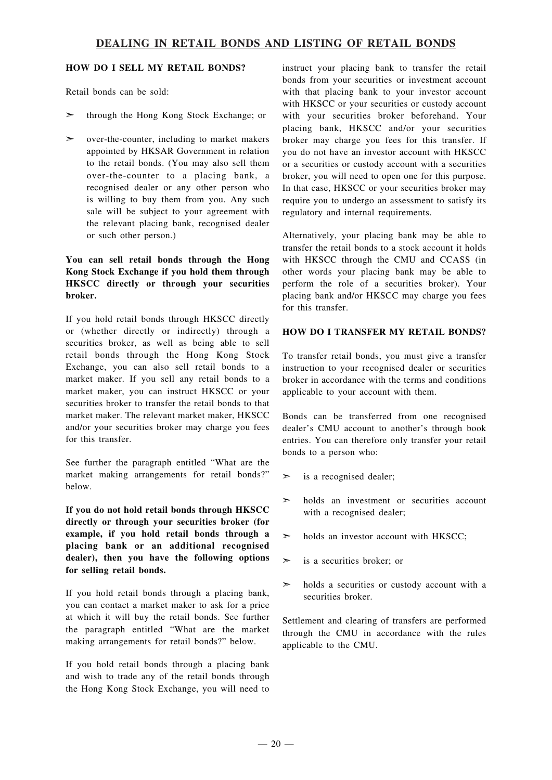#### **HOW DO I SELL MY RETAIL BONDS?**

Retail bonds can be sold:

- ➣ through the Hong Kong Stock Exchange; or
- $\geq$  over-the-counter, including to market makers appointed by HKSAR Government in relation to the retail bonds. (You may also sell them over-the-counter to a placing bank, a recognised dealer or any other person who is willing to buy them from you. Any such sale will be subject to your agreement with the relevant placing bank, recognised dealer or such other person.)

#### **You can sell retail bonds through the Hong Kong Stock Exchange if you hold them through HKSCC directly or through your securities broker.**

If you hold retail bonds through HKSCC directly or (whether directly or indirectly) through a securities broker, as well as being able to sell retail bonds through the Hong Kong Stock Exchange, you can also sell retail bonds to a market maker. If you sell any retail bonds to a market maker, you can instruct HKSCC or your securities broker to transfer the retail bonds to that market maker. The relevant market maker, HKSCC and/or your securities broker may charge you fees for this transfer.

See further the paragraph entitled "What are the market making arrangements for retail bonds?" below.

**If you do not hold retail bonds through HKSCC directly or through your securities broker (for example, if you hold retail bonds through a placing bank or an additional recognised dealer), then you have the following options for selling retail bonds.**

If you hold retail bonds through a placing bank, you can contact a market maker to ask for a price at which it will buy the retail bonds. See further the paragraph entitled "What are the market making arrangements for retail bonds?" below.

If you hold retail bonds through a placing bank and wish to trade any of the retail bonds through the Hong Kong Stock Exchange, you will need to

instruct your placing bank to transfer the retail bonds from your securities or investment account with that placing bank to your investor account with HKSCC or your securities or custody account with your securities broker beforehand. Your placing bank, HKSCC and/or your securities broker may charge you fees for this transfer. If you do not have an investor account with HKSCC or a securities or custody account with a securities broker, you will need to open one for this purpose. In that case, HKSCC or your securities broker may require you to undergo an assessment to satisfy its regulatory and internal requirements.

Alternatively, your placing bank may be able to transfer the retail bonds to a stock account it holds with HKSCC through the CMU and CCASS (in other words your placing bank may be able to perform the role of a securities broker). Your placing bank and/or HKSCC may charge you fees for this transfer.

#### **HOW DO I TRANSFER MY RETAIL BONDS?**

To transfer retail bonds, you must give a transfer instruction to your recognised dealer or securities broker in accordance with the terms and conditions applicable to your account with them.

Bonds can be transferred from one recognised dealer's CMU account to another's through book entries. You can therefore only transfer your retail bonds to a person who:

- $\geq$  is a recognised dealer;
- $\geq$  holds an investment or securities account with a recognised dealer;
- $\geq$  holds an investor account with HKSCC;
- $\geq$  is a securities broker; or
- $\geq$  holds a securities or custody account with a securities broker.

Settlement and clearing of transfers are performed through the CMU in accordance with the rules applicable to the CMU.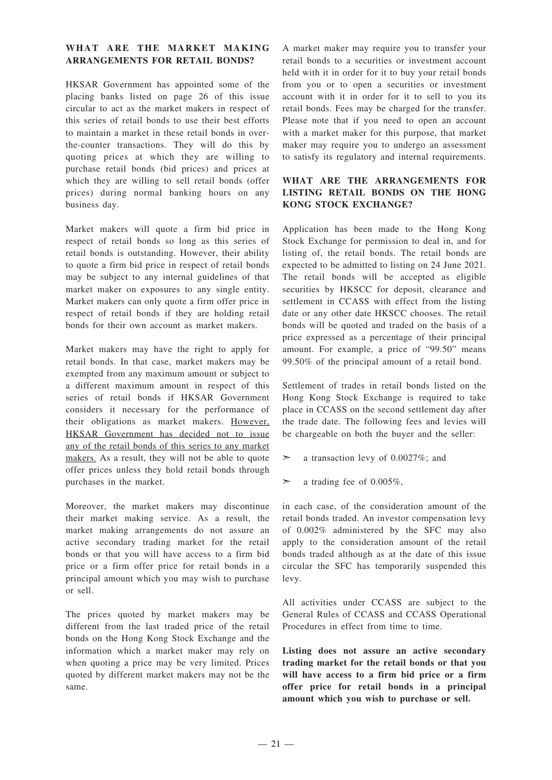#### **WHAT ARE THE MARKET MAKING ARRANGEMENTS FOR RETAIL BONDS?**

HKSAR Government has appointed some of the placing banks listed on page 26 of this issue circular to act as the market makers in respect of this series of retail bonds to use their best efforts to maintain a market in these retail bonds in overthe-counter transactions. They will do this by quoting prices at which they are willing to purchase retail bonds (bid prices) and prices at which they are willing to sell retail bonds (offer prices) during normal banking hours on any business day.

Market makers will quote a firm bid price in respect of retail bonds so long as this series of retail bonds is outstanding. However, their ability to quote a firm bid price in respect of retail bonds may be subject to any internal guidelines of that market maker on exposures to any single entity. Market makers can only quote a firm offer price in respect of retail bonds if they are holding retail bonds for their own account as market makers.

Market makers may have the right to apply for retail bonds. In that case, market makers may be exempted from any maximum amount or subject to a different maximum amount in respect of this series of retail bonds if HKSAR Government considers it necessary for the performance of their obligations as market makers. However, HKSAR Government has decided not to issue any of the retail bonds of this series to any market makers. As a result, they will not be able to quote offer prices unless they hold retail bonds through purchases in the market.

Moreover, the market makers may discontinue their market making service. As a result, the market making arrangements do not assure an active secondary trading market for the retail bonds or that you will have access to a firm bid price or a firm offer price for retail bonds in a principal amount which you may wish to purchase or sell.

The prices quoted by market makers may be different from the last traded price of the retail bonds on the Hong Kong Stock Exchange and the information which a market maker may rely on when quoting a price may be very limited. Prices quoted by different market makers may not be the same.

A market maker may require you to transfer your retail bonds to a securities or investment account held with it in order for it to buy your retail bonds from you or to open a securities or investment account with it in order for it to sell to you its retail bonds. Fees may be charged for the transfer. Please note that if you need to open an account with a market maker for this purpose, that market maker may require you to undergo an assessment to satisfy its regulatory and internal requirements.

#### **WHAT ARE THE ARRANGEMENTS FOR LISTING RETAIL BONDS ON THE HONG KONG STOCK EXCHANGE?**

Application has been made to the Hong Kong Stock Exchange for permission to deal in, and for listing of, the retail bonds. The retail bonds are expected to be admitted to listing on 24 June 2021. The retail bonds will be accepted as eligible securities by HKSCC for deposit, clearance and settlement in CCASS with effect from the listing date or any other date HKSCC chooses. The retail bonds will be quoted and traded on the basis of a price expressed as a percentage of their principal amount. For example, a price of "99.50" means 99.50% of the principal amount of a retail bond.

Settlement of trades in retail bonds listed on the Hong Kong Stock Exchange is required to take place in CCASS on the second settlement day after the trade date. The following fees and levies will be chargeable on both the buyer and the seller:

- ➣ a transaction levy of 0.0027%; and
- $\geq$  a trading fee of 0.005%,

in each case, of the consideration amount of the retail bonds traded. An investor compensation levy of 0.002% administered by the SFC may also apply to the consideration amount of the retail bonds traded although as at the date of this issue circular the SFC has temporarily suspended this levy.

All activities under CCASS are subject to the General Rules of CCASS and CCASS Operational Procedures in effect from time to time.

**Listing does not assure an active secondary trading market for the retail bonds or that you will have access to a firm bid price or a firm offer price for retail bonds in a principal amount which you wish to purchase or sell.**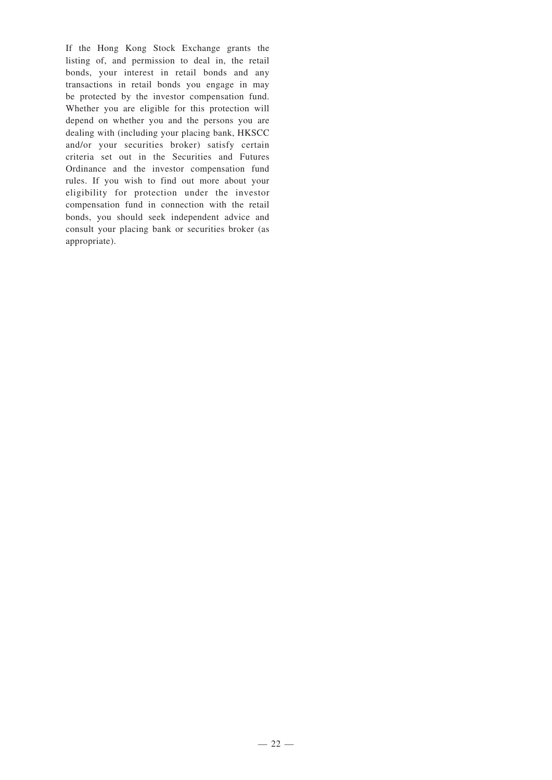If the Hong Kong Stock Exchange grants the listing of, and permission to deal in, the retail bonds, your interest in retail bonds and any transactions in retail bonds you engage in may be protected by the investor compensation fund. Whether you are eligible for this protection will depend on whether you and the persons you are dealing with (including your placing bank, HKSCC and/or your securities broker) satisfy certain criteria set out in the Securities and Futures Ordinance and the investor compensation fund rules. If you wish to find out more about your eligibility for protection under the investor compensation fund in connection with the retail bonds, you should seek independent advice and consult your placing bank or securities broker (as appropriate).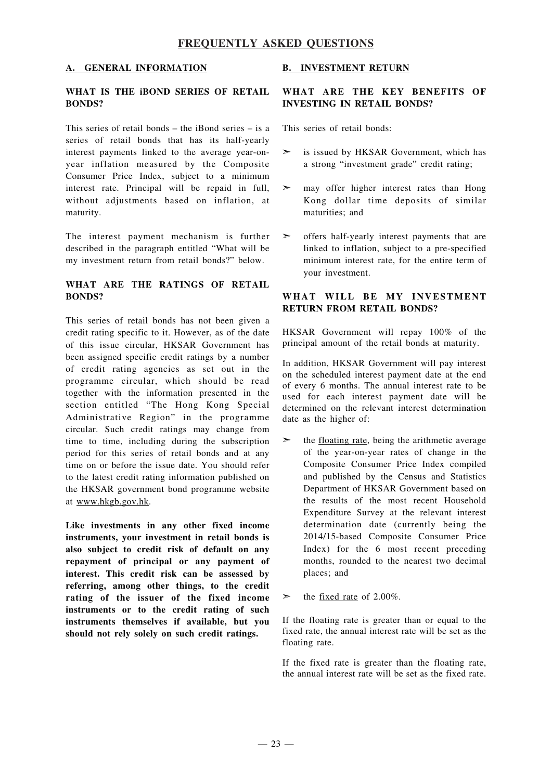### **FREQUENTLY ASKED QUESTIONS**

#### **A. GENERAL INFORMATION**

#### **WHAT IS THE iBOND SERIES OF RETAIL BONDS?**

This series of retail bonds – the iBond series – is a series of retail bonds that has its half-yearly interest payments linked to the average year-onyear inflation measured by the Composite Consumer Price Index, subject to a minimum interest rate. Principal will be repaid in full, without adjustments based on inflation, at maturity.

The interest payment mechanism is further described in the paragraph entitled "What will be my investment return from retail bonds?" below.

#### **WHAT ARE THE RATINGS OF RETAIL BONDS?**

This series of retail bonds has not been given a credit rating specific to it. However, as of the date of this issue circular, HKSAR Government has been assigned specific credit ratings by a number of credit rating agencies as set out in the programme circular, which should be read together with the information presented in the section entitled "The Hong Kong Special Administrative Region" in the programme circular. Such credit ratings may change from time to time, including during the subscription period for this series of retail bonds and at any time on or before the issue date. You should refer to the latest credit rating information published on the HKSAR government bond programme website at www.hkgb.gov.hk.

**Like investments in any other fixed income instruments, your investment in retail bonds is also subject to credit risk of default on any repayment of principal or any payment of interest. This credit risk can be assessed by referring, among other things, to the credit rating of the issuer of the fixed income instruments or to the credit rating of such instruments themselves if available, but you should not rely solely on such credit ratings.**

#### **B. INVESTMENT RETURN**

#### **WHAT ARE THE KEY BENEFITS OF INVESTING IN RETAIL BONDS?**

This series of retail bonds:

- $\geq$  is issued by HKSAR Government, which has a strong "investment grade" credit rating;
- $\geq$  may offer higher interest rates than Hong Kong dollar time deposits of similar maturities; and
- ➣ offers half-yearly interest payments that are linked to inflation, subject to a pre-specified minimum interest rate, for the entire term of your investment.

#### **WHAT WILL BE MY INVESTMENT RETURN FROM RETAIL BONDS?**

HKSAR Government will repay 100% of the principal amount of the retail bonds at maturity.

In addition, HKSAR Government will pay interest on the scheduled interest payment date at the end of every 6 months. The annual interest rate to be used for each interest payment date will be determined on the relevant interest determination date as the higher of:

- $\geq$  the <u>floating rate</u>, being the arithmetic average of the year-on-year rates of change in the Composite Consumer Price Index compiled and published by the Census and Statistics Department of HKSAR Government based on the results of the most recent Household Expenditure Survey at the relevant interest determination date (currently being the 2014/15-based Composite Consumer Price Index) for the 6 most recent preceding months, rounded to the nearest two decimal places; and
- $\blacktriangleright$  the <u>fixed rate</u> of 2.00%.

If the floating rate is greater than or equal to the fixed rate, the annual interest rate will be set as the floating rate.

If the fixed rate is greater than the floating rate, the annual interest rate will be set as the fixed rate.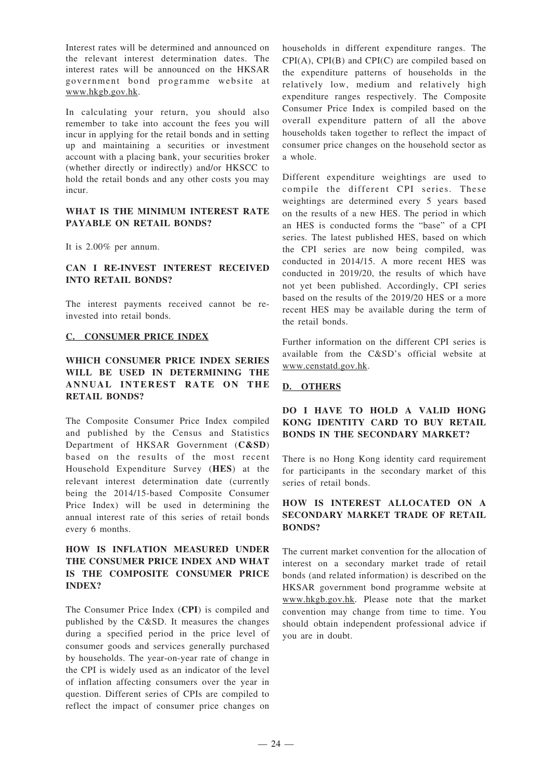Interest rates will be determined and announced on the relevant interest determination dates. The interest rates will be announced on the HKSAR government bond programme website at www.hkgb.gov.hk.

In calculating your return, you should also remember to take into account the fees you will incur in applying for the retail bonds and in setting up and maintaining a securities or investment account with a placing bank, your securities broker (whether directly or indirectly) and/or HKSCC to hold the retail bonds and any other costs you may incur.

#### **WHAT IS THE MINIMUM INTEREST RATE PAYABLE ON RETAIL BONDS?**

It is 2.00% per annum.

#### **CAN I RE-INVEST INTEREST RECEIVED INTO RETAIL BONDS?**

The interest payments received cannot be reinvested into retail bonds.

#### **C. CONSUMER PRICE INDEX**

#### **WHICH CONSUMER PRICE INDEX SERIES WILL BE USED IN DETERMINING THE ANNUAL INTEREST RATE O N THE RETAIL BONDS?**

The Composite Consumer Price Index compiled and published by the Census and Statistics Department of HKSAR Government (**C&SD**) based on the results of the most recent Household Expenditure Survey (**HES**) at the relevant interest determination date (currently being the 2014/15-based Composite Consumer Price Index) will be used in determining the annual interest rate of this series of retail bonds every 6 months.

#### **HOW IS INFLATION MEASURED UNDER THE CONSUMER PRICE INDEX AND WHAT IS THE COMPOSITE CONSUMER PRICE INDEX?**

The Consumer Price Index (**CPI**) is compiled and published by the C&SD. It measures the changes during a specified period in the price level of consumer goods and services generally purchased by households. The year-on-year rate of change in the CPI is widely used as an indicator of the level of inflation affecting consumers over the year in question. Different series of CPIs are compiled to reflect the impact of consumer price changes on households in different expenditure ranges. The CPI(A), CPI(B) and CPI(C) are compiled based on the expenditure patterns of households in the relatively low, medium and relatively high expenditure ranges respectively. The Composite Consumer Price Index is compiled based on the overall expenditure pattern of all the above households taken together to reflect the impact of consumer price changes on the household sector as a whole.

Different expenditure weightings are used to compile the different CPI series. These weightings are determined every 5 years based on the results of a new HES. The period in which an HES is conducted forms the "base" of a CPI series. The latest published HES, based on which the CPI series are now being compiled, was conducted in 2014/15. A more recent HES was conducted in 2019/20, the results of which have not yet been published. Accordingly, CPI series based on the results of the 2019/20 HES or a more recent HES may be available during the term of the retail bonds.

Further information on the different CPI series is available from the C&SD's official website at www.censtatd.gov.hk.

#### **D. OTHERS**

#### **DO I HAVE TO HOLD A VALID HONG KONG IDENTITY CARD TO BUY RETAIL BONDS IN THE SECONDARY MARKET?**

There is no Hong Kong identity card requirement for participants in the secondary market of this series of retail bonds.

#### **HOW IS INTEREST ALLOCATED ON A SECONDARY MARKET TRADE OF RETAIL BONDS?**

The current market convention for the allocation of interest on a secondary market trade of retail bonds (and related information) is described on the HKSAR government bond programme website at www.hkgb.gov.hk. Please note that the market convention may change from time to time. You should obtain independent professional advice if you are in doubt.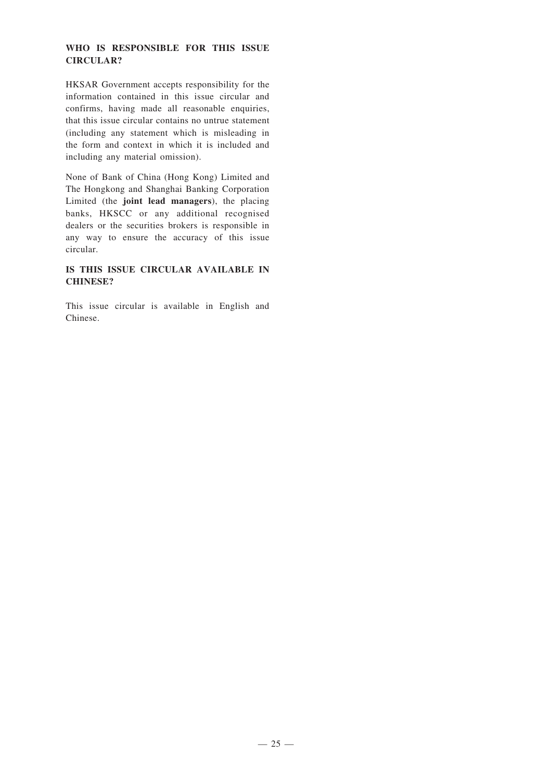#### **WHO IS RESPONSIBLE FOR THIS ISSUE CIRCULAR?**

HKSAR Government accepts responsibility for the information contained in this issue circular and confirms, having made all reasonable enquiries, that this issue circular contains no untrue statement (including any statement which is misleading in the form and context in which it is included and including any material omission).

None of Bank of China (Hong Kong) Limited and The Hongkong and Shanghai Banking Corporation Limited (the **joint lead managers**), the placing banks, HKSCC or any additional recognised dealers or the securities brokers is responsible in any way to ensure the accuracy of this issue circular.

#### **IS THIS ISSUE CIRCULAR AVAILABLE IN CHINESE?**

This issue circular is available in English and Chinese.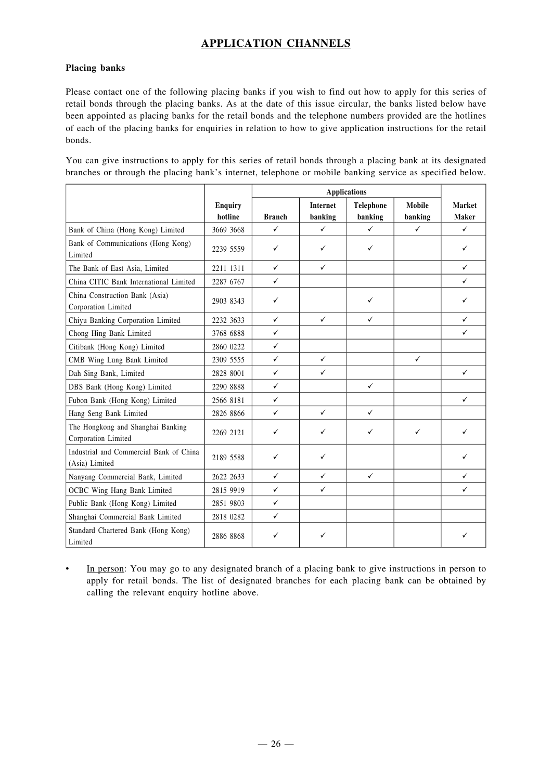## **APPLICATION CHANNELS**

#### **Placing banks**

Please contact one of the following placing banks if you wish to find out how to apply for this series of retail bonds through the placing banks. As at the date of this issue circular, the banks listed below have been appointed as placing banks for the retail bonds and the telephone numbers provided are the hotlines of each of the placing banks for enquiries in relation to how to give application instructions for the retail bonds.

You can give instructions to apply for this series of retail bonds through a placing bank at its designated branches or through the placing bank's internet, telephone or mobile banking service as specified below.

|                                                           |                           | <b>Applications</b> |                            |                      |                          |                        |
|-----------------------------------------------------------|---------------------------|---------------------|----------------------------|----------------------|--------------------------|------------------------|
|                                                           | <b>Enquiry</b><br>hotline | <b>Branch</b>       | <b>Internet</b><br>banking | Telephone<br>banking | <b>Mobile</b><br>banking | Market<br><b>Maker</b> |
| Bank of China (Hong Kong) Limited                         | 3669 3668                 | ✓                   | ✓                          | ✓                    | $\checkmark$             | $\checkmark$           |
| Bank of Communications (Hong Kong)<br>Limited             | 2239 5559                 | ✓                   | ✓                          | ✓                    |                          | ✓                      |
| The Bank of East Asia, Limited                            | 2211 1311                 | $\checkmark$        | ✓                          |                      |                          | $\checkmark$           |
| China CITIC Bank International Limited                    | 2287 6767                 | $\checkmark$        |                            |                      |                          | $\checkmark$           |
| China Construction Bank (Asia)<br>Corporation Limited     | 2903 8343                 | $\checkmark$        |                            | $\checkmark$         |                          | ✓                      |
| Chiyu Banking Corporation Limited                         | 2232 3633                 | $\checkmark$        | $\checkmark$               | $\checkmark$         |                          | $\checkmark$           |
| Chong Hing Bank Limited                                   | 3768 6888                 | $\checkmark$        |                            |                      |                          | $\checkmark$           |
| Citibank (Hong Kong) Limited                              | 2860 0222                 | $\checkmark$        |                            |                      |                          |                        |
| CMB Wing Lung Bank Limited                                | 2309 5555                 | $\checkmark$        | $\checkmark$               |                      | $\checkmark$             |                        |
| Dah Sing Bank, Limited                                    | 2828 8001                 | $\checkmark$        | $\checkmark$               |                      |                          | $\checkmark$           |
| DBS Bank (Hong Kong) Limited                              | 2290 8888                 | $\checkmark$        |                            | $\checkmark$         |                          |                        |
| Fubon Bank (Hong Kong) Limited                            | 2566 8181                 | $\checkmark$        |                            |                      |                          | $\checkmark$           |
| Hang Seng Bank Limited                                    | 2826 8866                 | $\checkmark$        | $\checkmark$               | $\checkmark$         |                          |                        |
| The Hongkong and Shanghai Banking<br>Corporation Limited  | 2269 2121                 | ✓                   | ✓                          | ✓                    | ✓                        | ✓                      |
| Industrial and Commercial Bank of China<br>(Asia) Limited | 2189 5588                 | $\checkmark$        | ✓                          |                      |                          | ✓                      |
| Nanyang Commercial Bank, Limited                          | 2622 2633                 | $\checkmark$        | $\checkmark$               | $\checkmark$         |                          | $\checkmark$           |
| OCBC Wing Hang Bank Limited                               | 2815 9919                 | $\checkmark$        | $\checkmark$               |                      |                          | $\checkmark$           |
| Public Bank (Hong Kong) Limited                           | 2851 9803                 | $\checkmark$        |                            |                      |                          |                        |
| Shanghai Commercial Bank Limited                          | 2818 0282                 | $\checkmark$        |                            |                      |                          |                        |
| Standard Chartered Bank (Hong Kong)<br>Limited            | 2886 8868                 | ✓                   | ✓                          |                      |                          |                        |

• In person: You may go to any designated branch of a placing bank to give instructions in person to apply for retail bonds. The list of designated branches for each placing bank can be obtained by calling the relevant enquiry hotline above.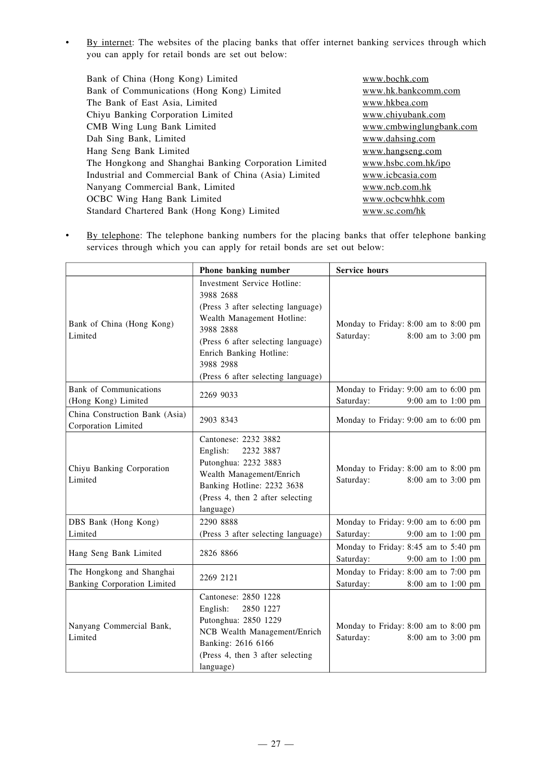• By internet: The websites of the placing banks that offer internet banking services through which you can apply for retail bonds are set out below:

| Bank of China (Hong Kong) Limited                      | www.bochk.com           |
|--------------------------------------------------------|-------------------------|
| Bank of Communications (Hong Kong) Limited             | www.hk.bankcomm.com     |
| The Bank of East Asia, Limited                         | www.hkbea.com           |
| Chiyu Banking Corporation Limited                      | www.chiyubank.com       |
| CMB Wing Lung Bank Limited                             | www.cmbwinglungbank.com |
| Dah Sing Bank, Limited                                 | www.dahsing.com         |
| Hang Seng Bank Limited                                 | www.hangseng.com        |
| The Hongkong and Shanghai Banking Corporation Limited  | www.hsbc.com.hk/ipo     |
| Industrial and Commercial Bank of China (Asia) Limited | www.icbcasia.com        |
| Nanyang Commercial Bank, Limited                       | www.ncb.com.hk          |
| <b>OCBC</b> Wing Hang Bank Limited                     | www.ocbcwhhk.com        |
| Standard Chartered Bank (Hong Kong) Limited            | www.sc.com/hk           |
|                                                        |                         |

• By telephone: The telephone banking numbers for the placing banks that offer telephone banking services through which you can apply for retail bonds are set out below:

|                                                                 | Phone banking number                                                                                                                                                                                                                          | <b>Service hours</b>                                                      |
|-----------------------------------------------------------------|-----------------------------------------------------------------------------------------------------------------------------------------------------------------------------------------------------------------------------------------------|---------------------------------------------------------------------------|
| Bank of China (Hong Kong)<br>Limited                            | Investment Service Hotline:<br>3988 2688<br>(Press 3 after selecting language)<br>Wealth Management Hotline:<br>3988 2888<br>(Press 6 after selecting language)<br>Enrich Banking Hotline:<br>3988 2988<br>(Press 6 after selecting language) | Monday to Friday: 8:00 am to 8:00 pm<br>Saturday:<br>8:00 am to 3:00 pm   |
| <b>Bank</b> of Communications<br>(Hong Kong) Limited            | 2269 9033                                                                                                                                                                                                                                     | Monday to Friday: 9:00 am to 6:00 pm<br>Saturday:<br>9:00 am to 1:00 pm   |
| China Construction Bank (Asia)<br>Corporation Limited           | 2903 8343                                                                                                                                                                                                                                     | Monday to Friday: 9:00 am to 6:00 pm                                      |
| Chiyu Banking Corporation<br>Limited                            | Cantonese: 2232 3882<br>English:<br>2232 3887<br>Putonghua: 2232 3883<br>Wealth Management/Enrich<br>Banking Hotline: 2232 3638<br>(Press 4, then 2 after selecting<br>language)                                                              | Monday to Friday: 8:00 am to 8:00 pm<br>Saturday:<br>8:00 am to 3:00 pm   |
| DBS Bank (Hong Kong)<br>Limited                                 | 2290 8888<br>(Press 3 after selecting language)                                                                                                                                                                                               | Monday to Friday: 9:00 am to 6:00 pm<br>Saturday:<br>9:00 am to 1:00 pm   |
| Hang Seng Bank Limited                                          | 2826 8866                                                                                                                                                                                                                                     | Monday to Friday: 8:45 am to 5:40 pm<br>Saturday:<br>$9:00$ am to 1:00 pm |
| The Hongkong and Shanghai<br><b>Banking Corporation Limited</b> | 2269 2121                                                                                                                                                                                                                                     | Monday to Friday: 8:00 am to 7:00 pm<br>Saturday:<br>8:00 am to 1:00 pm   |
| Nanyang Commercial Bank,<br>Limited                             | Cantonese: 2850 1228<br>English:<br>2850 1227<br>Putonghua: 2850 1229<br>NCB Wealth Management/Enrich<br>Banking: 2616 6166<br>(Press 4, then 3 after selecting<br>language)                                                                  | Monday to Friday: 8:00 am to 8:00 pm<br>Saturday:<br>8:00 am to 3:00 pm   |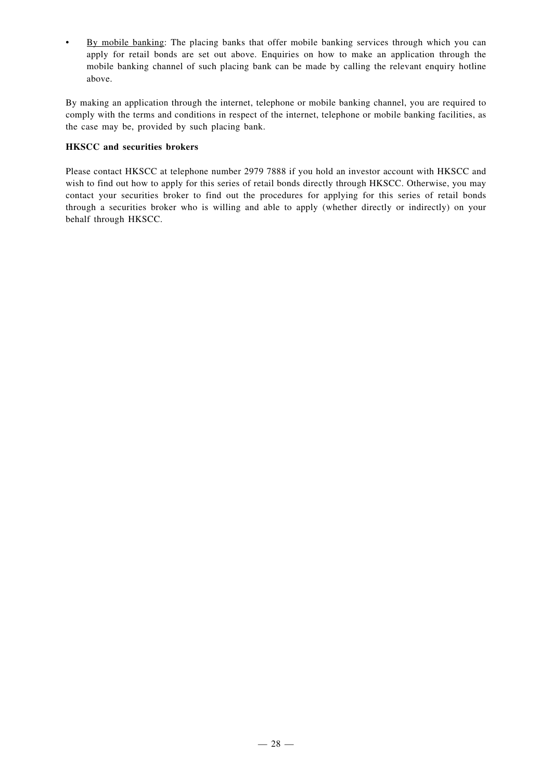• By mobile banking: The placing banks that offer mobile banking services through which you can apply for retail bonds are set out above. Enquiries on how to make an application through the mobile banking channel of such placing bank can be made by calling the relevant enquiry hotline above.

By making an application through the internet, telephone or mobile banking channel, you are required to comply with the terms and conditions in respect of the internet, telephone or mobile banking facilities, as the case may be, provided by such placing bank.

#### **HKSCC and securities brokers**

Please contact HKSCC at telephone number 2979 7888 if you hold an investor account with HKSCC and wish to find out how to apply for this series of retail bonds directly through HKSCC. Otherwise, you may contact your securities broker to find out the procedures for applying for this series of retail bonds through a securities broker who is willing and able to apply (whether directly or indirectly) on your behalf through HKSCC.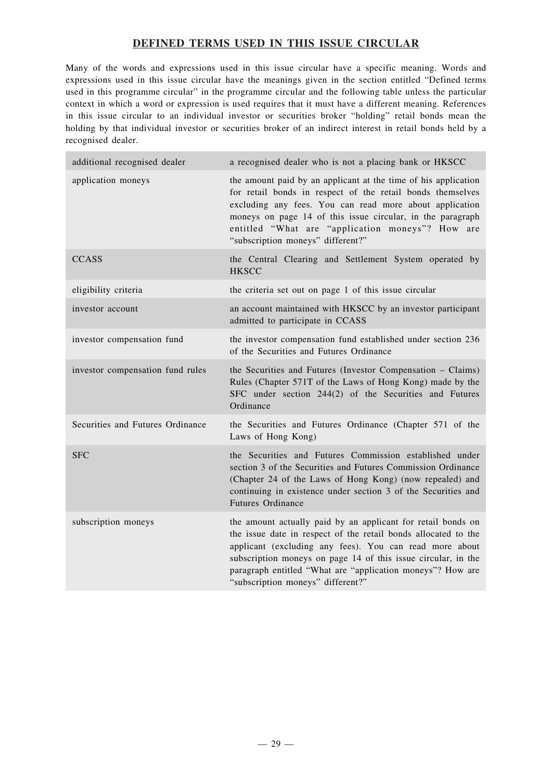## **DEFINED TERMS USED IN THIS ISSUE CIRCULAR**

Many of the words and expressions used in this issue circular have a specific meaning. Words and expressions used in this issue circular have the meanings given in the section entitled "Defined terms used in this programme circular" in the programme circular and the following table unless the particular context in which a word or expression is used requires that it must have a different meaning. References in this issue circular to an individual investor or securities broker "holding" retail bonds mean the holding by that individual investor or securities broker of an indirect interest in retail bonds held by a recognised dealer.

| additional recognised dealer     | a recognised dealer who is not a placing bank or HKSCC                                                                                                                                                                                                                                                                                                        |
|----------------------------------|---------------------------------------------------------------------------------------------------------------------------------------------------------------------------------------------------------------------------------------------------------------------------------------------------------------------------------------------------------------|
| application moneys               | the amount paid by an applicant at the time of his application<br>for retail bonds in respect of the retail bonds themselves<br>excluding any fees. You can read more about application<br>moneys on page 14 of this issue circular, in the paragraph<br>entitled "What are "application moneys"? How are<br>"subscription moneys" different?"                |
| <b>CCASS</b>                     | the Central Clearing and Settlement System operated by<br><b>HKSCC</b>                                                                                                                                                                                                                                                                                        |
| eligibility criteria             | the criteria set out on page 1 of this issue circular                                                                                                                                                                                                                                                                                                         |
| investor account                 | an account maintained with HKSCC by an investor participant<br>admitted to participate in CCASS                                                                                                                                                                                                                                                               |
| investor compensation fund       | the investor compensation fund established under section 236<br>of the Securities and Futures Ordinance                                                                                                                                                                                                                                                       |
| investor compensation fund rules | the Securities and Futures (Investor Compensation – Claims)<br>Rules (Chapter 571T of the Laws of Hong Kong) made by the<br>SFC under section 244(2) of the Securities and Futures<br>Ordinance                                                                                                                                                               |
| Securities and Futures Ordinance | the Securities and Futures Ordinance (Chapter 571 of the<br>Laws of Hong Kong)                                                                                                                                                                                                                                                                                |
| <b>SFC</b>                       | the Securities and Futures Commission established under<br>section 3 of the Securities and Futures Commission Ordinance<br>(Chapter 24 of the Laws of Hong Kong) (now repealed) and<br>continuing in existence under section 3 of the Securities and<br><b>Futures Ordinance</b>                                                                              |
| subscription moneys              | the amount actually paid by an applicant for retail bonds on<br>the issue date in respect of the retail bonds allocated to the<br>applicant (excluding any fees). You can read more about<br>subscription moneys on page 14 of this issue circular, in the<br>paragraph entitled "What are "application moneys"? How are<br>"subscription moneys" different?" |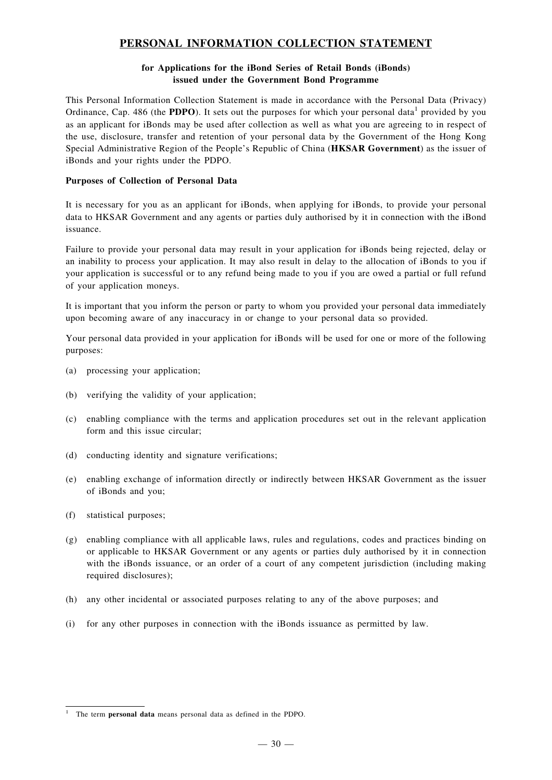## **PERSONAL INFORMATION COLLECTION STATEMENT**

#### **for Applications for the iBond Series of Retail Bonds (iBonds) issued under the Government Bond Programme**

This Personal Information Collection Statement is made in accordance with the Personal Data (Privacy) Ordinance, Cap. 486 (the **PDPO**). It sets out the purposes for which your personal data<sup>1</sup> provided by you as an applicant for iBonds may be used after collection as well as what you are agreeing to in respect of the use, disclosure, transfer and retention of your personal data by the Government of the Hong Kong Special Administrative Region of the People's Republic of China (**HKSAR Government**) as the issuer of iBonds and your rights under the PDPO.

#### **Purposes of Collection of Personal Data**

It is necessary for you as an applicant for iBonds, when applying for iBonds, to provide your personal data to HKSAR Government and any agents or parties duly authorised by it in connection with the iBond issuance.

Failure to provide your personal data may result in your application for iBonds being rejected, delay or an inability to process your application. It may also result in delay to the allocation of iBonds to you if your application is successful or to any refund being made to you if you are owed a partial or full refund of your application moneys.

It is important that you inform the person or party to whom you provided your personal data immediately upon becoming aware of any inaccuracy in or change to your personal data so provided.

Your personal data provided in your application for iBonds will be used for one or more of the following purposes:

- (a) processing your application;
- (b) verifying the validity of your application;
- (c) enabling compliance with the terms and application procedures set out in the relevant application form and this issue circular;
- (d) conducting identity and signature verifications;
- (e) enabling exchange of information directly or indirectly between HKSAR Government as the issuer of iBonds and you;
- (f) statistical purposes;
- (g) enabling compliance with all applicable laws, rules and regulations, codes and practices binding on or applicable to HKSAR Government or any agents or parties duly authorised by it in connection with the iBonds issuance, or an order of a court of any competent jurisdiction (including making required disclosures);
- (h) any other incidental or associated purposes relating to any of the above purposes; and
- (i) for any other purposes in connection with the iBonds issuance as permitted by law.

<sup>1</sup> The term **personal data** means personal data as defined in the PDPO.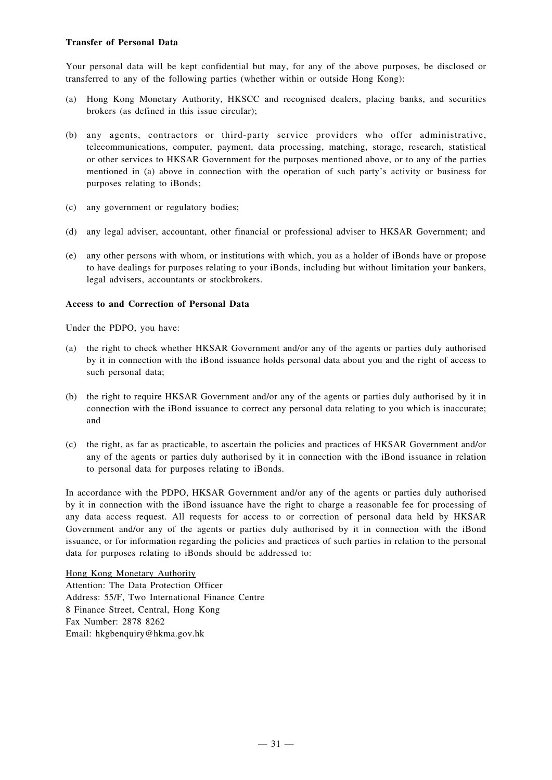#### **Transfer of Personal Data**

Your personal data will be kept confidential but may, for any of the above purposes, be disclosed or transferred to any of the following parties (whether within or outside Hong Kong):

- (a) Hong Kong Monetary Authority, HKSCC and recognised dealers, placing banks, and securities brokers (as defined in this issue circular);
- (b) any agents, contractors or third-party service providers who offer administrative, telecommunications, computer, payment, data processing, matching, storage, research, statistical or other services to HKSAR Government for the purposes mentioned above, or to any of the parties mentioned in (a) above in connection with the operation of such party's activity or business for purposes relating to iBonds;
- (c) any government or regulatory bodies;
- (d) any legal adviser, accountant, other financial or professional adviser to HKSAR Government; and
- (e) any other persons with whom, or institutions with which, you as a holder of iBonds have or propose to have dealings for purposes relating to your iBonds, including but without limitation your bankers, legal advisers, accountants or stockbrokers.

#### **Access to and Correction of Personal Data**

Under the PDPO, you have:

- (a) the right to check whether HKSAR Government and/or any of the agents or parties duly authorised by it in connection with the iBond issuance holds personal data about you and the right of access to such personal data;
- (b) the right to require HKSAR Government and/or any of the agents or parties duly authorised by it in connection with the iBond issuance to correct any personal data relating to you which is inaccurate; and
- (c) the right, as far as practicable, to ascertain the policies and practices of HKSAR Government and/or any of the agents or parties duly authorised by it in connection with the iBond issuance in relation to personal data for purposes relating to iBonds.

In accordance with the PDPO, HKSAR Government and/or any of the agents or parties duly authorised by it in connection with the iBond issuance have the right to charge a reasonable fee for processing of any data access request. All requests for access to or correction of personal data held by HKSAR Government and/or any of the agents or parties duly authorised by it in connection with the iBond issuance, or for information regarding the policies and practices of such parties in relation to the personal data for purposes relating to iBonds should be addressed to:

Hong Kong Monetary Authority Attention: The Data Protection Officer Address: 55/F, Two International Finance Centre 8 Finance Street, Central, Hong Kong Fax Number: 2878 8262 Email: hkgbenquiry@hkma.gov.hk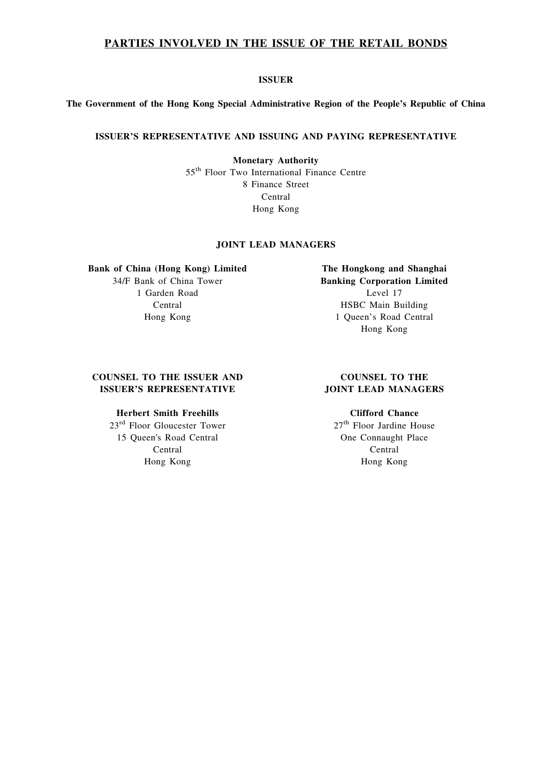#### **PARTIES INVOLVED IN THE ISSUE OF THE RETAIL BONDS**

#### **ISSUER**

#### **The Government of the Hong Kong Special Administrative Region of the People's Republic of China**

#### **ISSUER'S REPRESENTATIVE AND ISSUING AND PAYING REPRESENTATIVE**

**Monetary Authority** 55th Floor Two International Finance Centre 8 Finance Street Central Hong Kong

#### **JOINT LEAD MANAGERS**

#### **Bank of China (Hong Kong) Limited**

34/F Bank of China Tower 1 Garden Road Central Hong Kong

**The Hongkong and Shanghai Banking Corporation Limited** Level 17 HSBC Main Building 1 Queen's Road Central Hong Kong

#### **COUNSEL TO THE ISSUER AND ISSUER'S REPRESENTATIVE**

#### **Herbert Smith Freehills**

23rd Floor Gloucester Tower 15 Queen's Road Central Central Hong Kong

#### **COUNSEL TO THE JOINT LEAD MANAGERS**

#### **Clifford Chance**

27<sup>th</sup> Floor Jardine House One Connaught Place Central Hong Kong